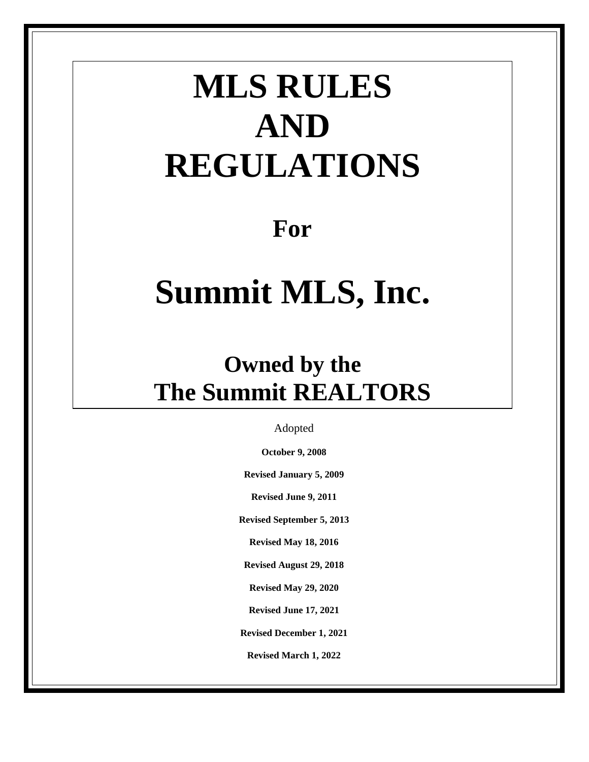# **MLS RULES AND REGULATIONS**

# **For**

# **Summit MLS, Inc.**

# **Owned by the The Summit REALTORS**

Adopted

**October 9, 2008**

**Revised January 5, 2009**

**Revised June 9, 2011**

**Revised September 5, 2013**

**Revised May 18, 2016**

**Revised August 29, 2018**

**Revised May 29, 2020**

**Revised June 17, 2021**

**Revised December 1, 2021**

**Revised March 1, 2022**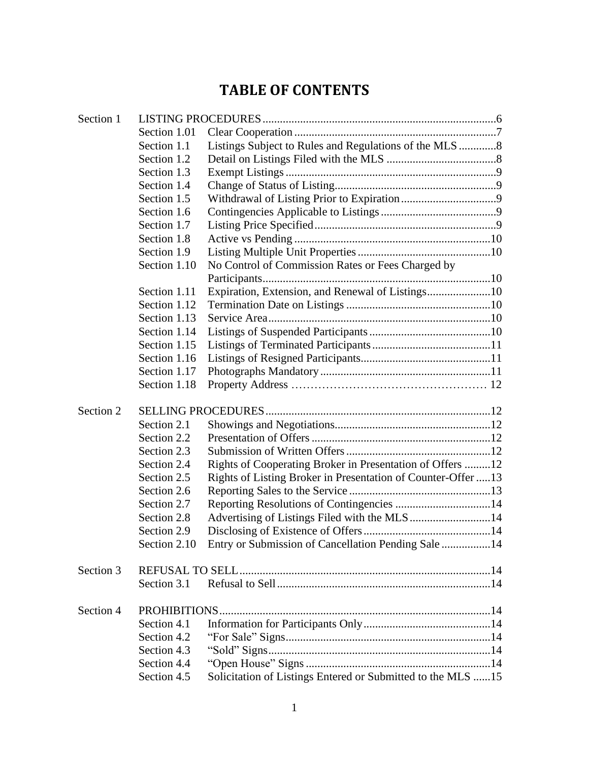# **TABLE OF CONTENTS**

| Section 1.01<br>Listings Subject to Rules and Regulations of the MLS 8<br>Section 1.1<br>Section 1.2<br>Section 1.3<br>Section 1.4<br>Section 1.5<br>Section 1.6<br>Section 1.7<br>Section 1.8<br>Section 1.9<br>No Control of Commission Rates or Fees Charged by<br>Section 1.10<br>Expiration, Extension, and Renewal of Listings10<br>Section 1.11<br>Section 1.12<br>Section 1.13<br>Section 1.14<br>Section 1.15<br>Section 1.16<br>Section 1.17<br>Section 1.18<br>Section 2.1<br>Section 2.2<br>Section 2.3<br>Rights of Cooperating Broker in Presentation of Offers 12<br>Section 2.4<br>Rights of Listing Broker in Presentation of Counter-Offer 13<br>Section 2.5<br>Section 2.6<br>Reporting Resolutions of Contingencies 14<br>Section 2.7<br>Section 2.8<br>Section 2.9<br>Entry or Submission of Cancellation Pending Sale 14<br>Section 2.10<br>Section 3<br>Section 3.1<br>Section 4<br>PROHIBITIONS<br>Section 4.1<br>Section 4.2<br>Section 4.3<br>Section 4.4<br>Solicitation of Listings Entered or Submitted to the MLS 15<br>Section 4.5 | Section 1 |  |  |  |
|-------------------------------------------------------------------------------------------------------------------------------------------------------------------------------------------------------------------------------------------------------------------------------------------------------------------------------------------------------------------------------------------------------------------------------------------------------------------------------------------------------------------------------------------------------------------------------------------------------------------------------------------------------------------------------------------------------------------------------------------------------------------------------------------------------------------------------------------------------------------------------------------------------------------------------------------------------------------------------------------------------------------------------------------------------------------|-----------|--|--|--|
|                                                                                                                                                                                                                                                                                                                                                                                                                                                                                                                                                                                                                                                                                                                                                                                                                                                                                                                                                                                                                                                                   |           |  |  |  |
|                                                                                                                                                                                                                                                                                                                                                                                                                                                                                                                                                                                                                                                                                                                                                                                                                                                                                                                                                                                                                                                                   |           |  |  |  |
|                                                                                                                                                                                                                                                                                                                                                                                                                                                                                                                                                                                                                                                                                                                                                                                                                                                                                                                                                                                                                                                                   |           |  |  |  |
|                                                                                                                                                                                                                                                                                                                                                                                                                                                                                                                                                                                                                                                                                                                                                                                                                                                                                                                                                                                                                                                                   |           |  |  |  |
|                                                                                                                                                                                                                                                                                                                                                                                                                                                                                                                                                                                                                                                                                                                                                                                                                                                                                                                                                                                                                                                                   |           |  |  |  |
|                                                                                                                                                                                                                                                                                                                                                                                                                                                                                                                                                                                                                                                                                                                                                                                                                                                                                                                                                                                                                                                                   |           |  |  |  |
|                                                                                                                                                                                                                                                                                                                                                                                                                                                                                                                                                                                                                                                                                                                                                                                                                                                                                                                                                                                                                                                                   |           |  |  |  |
|                                                                                                                                                                                                                                                                                                                                                                                                                                                                                                                                                                                                                                                                                                                                                                                                                                                                                                                                                                                                                                                                   |           |  |  |  |
|                                                                                                                                                                                                                                                                                                                                                                                                                                                                                                                                                                                                                                                                                                                                                                                                                                                                                                                                                                                                                                                                   |           |  |  |  |
|                                                                                                                                                                                                                                                                                                                                                                                                                                                                                                                                                                                                                                                                                                                                                                                                                                                                                                                                                                                                                                                                   |           |  |  |  |
|                                                                                                                                                                                                                                                                                                                                                                                                                                                                                                                                                                                                                                                                                                                                                                                                                                                                                                                                                                                                                                                                   |           |  |  |  |
|                                                                                                                                                                                                                                                                                                                                                                                                                                                                                                                                                                                                                                                                                                                                                                                                                                                                                                                                                                                                                                                                   |           |  |  |  |
|                                                                                                                                                                                                                                                                                                                                                                                                                                                                                                                                                                                                                                                                                                                                                                                                                                                                                                                                                                                                                                                                   |           |  |  |  |
|                                                                                                                                                                                                                                                                                                                                                                                                                                                                                                                                                                                                                                                                                                                                                                                                                                                                                                                                                                                                                                                                   |           |  |  |  |
|                                                                                                                                                                                                                                                                                                                                                                                                                                                                                                                                                                                                                                                                                                                                                                                                                                                                                                                                                                                                                                                                   |           |  |  |  |
|                                                                                                                                                                                                                                                                                                                                                                                                                                                                                                                                                                                                                                                                                                                                                                                                                                                                                                                                                                                                                                                                   |           |  |  |  |
|                                                                                                                                                                                                                                                                                                                                                                                                                                                                                                                                                                                                                                                                                                                                                                                                                                                                                                                                                                                                                                                                   |           |  |  |  |
|                                                                                                                                                                                                                                                                                                                                                                                                                                                                                                                                                                                                                                                                                                                                                                                                                                                                                                                                                                                                                                                                   |           |  |  |  |
|                                                                                                                                                                                                                                                                                                                                                                                                                                                                                                                                                                                                                                                                                                                                                                                                                                                                                                                                                                                                                                                                   |           |  |  |  |
|                                                                                                                                                                                                                                                                                                                                                                                                                                                                                                                                                                                                                                                                                                                                                                                                                                                                                                                                                                                                                                                                   |           |  |  |  |
|                                                                                                                                                                                                                                                                                                                                                                                                                                                                                                                                                                                                                                                                                                                                                                                                                                                                                                                                                                                                                                                                   | Section 2 |  |  |  |
|                                                                                                                                                                                                                                                                                                                                                                                                                                                                                                                                                                                                                                                                                                                                                                                                                                                                                                                                                                                                                                                                   |           |  |  |  |
|                                                                                                                                                                                                                                                                                                                                                                                                                                                                                                                                                                                                                                                                                                                                                                                                                                                                                                                                                                                                                                                                   |           |  |  |  |
|                                                                                                                                                                                                                                                                                                                                                                                                                                                                                                                                                                                                                                                                                                                                                                                                                                                                                                                                                                                                                                                                   |           |  |  |  |
|                                                                                                                                                                                                                                                                                                                                                                                                                                                                                                                                                                                                                                                                                                                                                                                                                                                                                                                                                                                                                                                                   |           |  |  |  |
|                                                                                                                                                                                                                                                                                                                                                                                                                                                                                                                                                                                                                                                                                                                                                                                                                                                                                                                                                                                                                                                                   |           |  |  |  |
|                                                                                                                                                                                                                                                                                                                                                                                                                                                                                                                                                                                                                                                                                                                                                                                                                                                                                                                                                                                                                                                                   |           |  |  |  |
|                                                                                                                                                                                                                                                                                                                                                                                                                                                                                                                                                                                                                                                                                                                                                                                                                                                                                                                                                                                                                                                                   |           |  |  |  |
|                                                                                                                                                                                                                                                                                                                                                                                                                                                                                                                                                                                                                                                                                                                                                                                                                                                                                                                                                                                                                                                                   |           |  |  |  |
|                                                                                                                                                                                                                                                                                                                                                                                                                                                                                                                                                                                                                                                                                                                                                                                                                                                                                                                                                                                                                                                                   |           |  |  |  |
|                                                                                                                                                                                                                                                                                                                                                                                                                                                                                                                                                                                                                                                                                                                                                                                                                                                                                                                                                                                                                                                                   |           |  |  |  |
|                                                                                                                                                                                                                                                                                                                                                                                                                                                                                                                                                                                                                                                                                                                                                                                                                                                                                                                                                                                                                                                                   |           |  |  |  |
|                                                                                                                                                                                                                                                                                                                                                                                                                                                                                                                                                                                                                                                                                                                                                                                                                                                                                                                                                                                                                                                                   |           |  |  |  |
|                                                                                                                                                                                                                                                                                                                                                                                                                                                                                                                                                                                                                                                                                                                                                                                                                                                                                                                                                                                                                                                                   |           |  |  |  |
|                                                                                                                                                                                                                                                                                                                                                                                                                                                                                                                                                                                                                                                                                                                                                                                                                                                                                                                                                                                                                                                                   |           |  |  |  |
|                                                                                                                                                                                                                                                                                                                                                                                                                                                                                                                                                                                                                                                                                                                                                                                                                                                                                                                                                                                                                                                                   |           |  |  |  |
|                                                                                                                                                                                                                                                                                                                                                                                                                                                                                                                                                                                                                                                                                                                                                                                                                                                                                                                                                                                                                                                                   |           |  |  |  |
|                                                                                                                                                                                                                                                                                                                                                                                                                                                                                                                                                                                                                                                                                                                                                                                                                                                                                                                                                                                                                                                                   |           |  |  |  |
|                                                                                                                                                                                                                                                                                                                                                                                                                                                                                                                                                                                                                                                                                                                                                                                                                                                                                                                                                                                                                                                                   |           |  |  |  |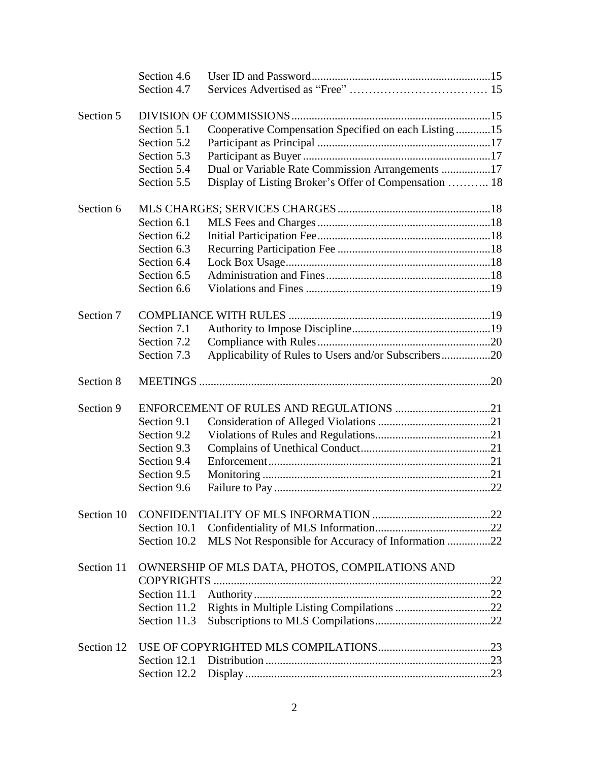|            | Section 4.6                                     |                                                       |  |
|------------|-------------------------------------------------|-------------------------------------------------------|--|
|            | Section 4.7                                     |                                                       |  |
|            |                                                 |                                                       |  |
| Section 5  |                                                 |                                                       |  |
|            | Section 5.1                                     | Cooperative Compensation Specified on each Listing 15 |  |
|            | Section 5.2                                     |                                                       |  |
|            | Section 5.3                                     |                                                       |  |
|            | Section 5.4                                     | Dual or Variable Rate Commission Arrangements 17      |  |
|            | Section 5.5                                     | Display of Listing Broker's Offer of Compensation  18 |  |
| Section 6  |                                                 |                                                       |  |
|            | Section 6.1                                     |                                                       |  |
|            | Section 6.2                                     |                                                       |  |
|            | Section 6.3                                     |                                                       |  |
|            | Section 6.4                                     |                                                       |  |
|            | Section 6.5                                     |                                                       |  |
|            | Section 6.6                                     |                                                       |  |
| Section 7  |                                                 |                                                       |  |
|            |                                                 |                                                       |  |
|            | Section 7.1                                     |                                                       |  |
|            | Section 7.2                                     |                                                       |  |
|            | Section 7.3                                     | Applicability of Rules to Users and/or Subscribers20  |  |
| Section 8  |                                                 |                                                       |  |
| Section 9  |                                                 | ENFORCEMENT OF RULES AND REGULATIONS 21               |  |
|            | Section 9.1                                     |                                                       |  |
|            | Section 9.2                                     |                                                       |  |
|            | Section 9.3                                     |                                                       |  |
|            | Section 9.4                                     |                                                       |  |
|            | Section 9.5                                     |                                                       |  |
|            | Section 9.6                                     |                                                       |  |
| Section 10 |                                                 |                                                       |  |
|            |                                                 |                                                       |  |
|            | Section 10.1                                    |                                                       |  |
|            | Section 10.2                                    | MLS Not Responsible for Accuracy of Information 22    |  |
| Section 11 | OWNERSHIP OF MLS DATA, PHOTOS, COMPILATIONS AND |                                                       |  |
|            | COPYRIGHTS.                                     |                                                       |  |
|            |                                                 |                                                       |  |
|            | Section 11.2                                    |                                                       |  |
|            | Section 11.3                                    |                                                       |  |
| Section 12 |                                                 |                                                       |  |
|            | Section 12.1                                    |                                                       |  |
|            | Section 12.2                                    |                                                       |  |
|            |                                                 |                                                       |  |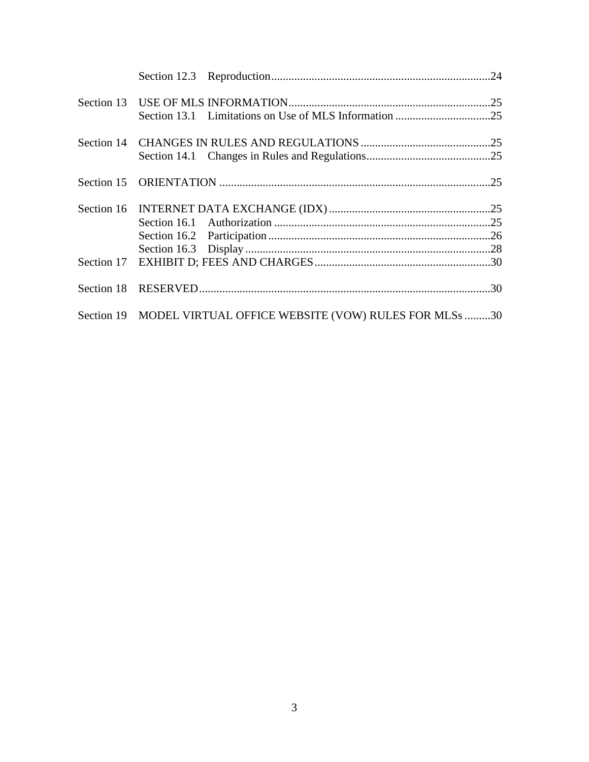| Section 19 MODEL VIRTUAL OFFICE WEBSITE (VOW) RULES FOR MLSs 30 |  |
|-----------------------------------------------------------------|--|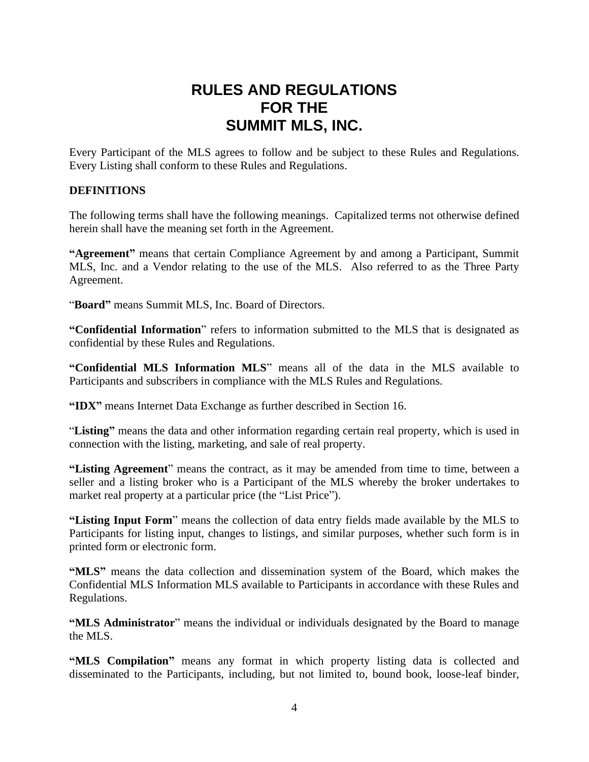## **RULES AND REGULATIONS FOR THE SUMMIT MLS, INC.**

Every Participant of the MLS agrees to follow and be subject to these Rules and Regulations. Every Listing shall conform to these Rules and Regulations.

#### **DEFINITIONS**

The following terms shall have the following meanings. Capitalized terms not otherwise defined herein shall have the meaning set forth in the Agreement.

**"Agreement"** means that certain Compliance Agreement by and among a Participant, Summit MLS, Inc. and a Vendor relating to the use of the MLS. Also referred to as the Three Party Agreement.

"**Board"** means Summit MLS, Inc. Board of Directors.

**"Confidential Information**" refers to information submitted to the MLS that is designated as confidential by these Rules and Regulations.

**"Confidential MLS Information MLS**" means all of the data in the MLS available to Participants and subscribers in compliance with the MLS Rules and Regulations.

**"IDX"** means Internet Data Exchange as further described in Section 16.

"**Listing"** means the data and other information regarding certain real property, which is used in connection with the listing, marketing, and sale of real property.

**"Listing Agreement**" means the contract, as it may be amended from time to time, between a seller and a listing broker who is a Participant of the MLS whereby the broker undertakes to market real property at a particular price (the "List Price").

**"Listing Input Form**" means the collection of data entry fields made available by the MLS to Participants for listing input, changes to listings, and similar purposes, whether such form is in printed form or electronic form.

**"MLS"** means the data collection and dissemination system of the Board, which makes the Confidential MLS Information MLS available to Participants in accordance with these Rules and Regulations.

**"MLS Administrator**" means the individual or individuals designated by the Board to manage the MLS.

**"MLS Compilation"** means any format in which property listing data is collected and disseminated to the Participants, including, but not limited to, bound book, loose-leaf binder,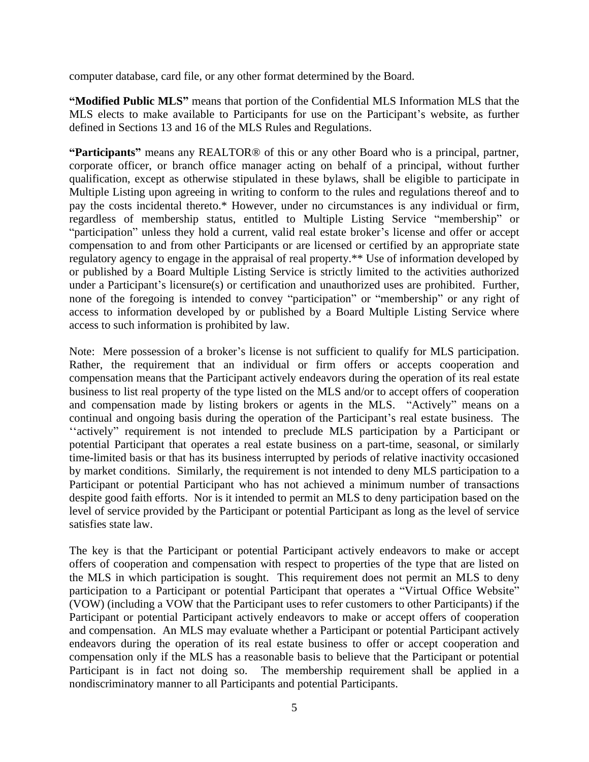computer database, card file, or any other format determined by the Board.

**"Modified Public MLS"** means that portion of the Confidential MLS Information MLS that the MLS elects to make available to Participants for use on the Participant's website, as further defined in Sections 13 and 16 of the MLS Rules and Regulations.

**"Participants"** means any REALTOR® of this or any other Board who is a principal, partner, corporate officer, or branch office manager acting on behalf of a principal, without further qualification, except as otherwise stipulated in these bylaws, shall be eligible to participate in Multiple Listing upon agreeing in writing to conform to the rules and regulations thereof and to pay the costs incidental thereto.\* However, under no circumstances is any individual or firm, regardless of membership status, entitled to Multiple Listing Service "membership" or "participation" unless they hold a current, valid real estate broker's license and offer or accept compensation to and from other Participants or are licensed or certified by an appropriate state regulatory agency to engage in the appraisal of real property.\*\* Use of information developed by or published by a Board Multiple Listing Service is strictly limited to the activities authorized under a Participant's licensure(s) or certification and unauthorized uses are prohibited. Further, none of the foregoing is intended to convey "participation" or "membership" or any right of access to information developed by or published by a Board Multiple Listing Service where access to such information is prohibited by law.

Note: Mere possession of a broker's license is not sufficient to qualify for MLS participation. Rather, the requirement that an individual or firm offers or accepts cooperation and compensation means that the Participant actively endeavors during the operation of its real estate business to list real property of the type listed on the MLS and/or to accept offers of cooperation and compensation made by listing brokers or agents in the MLS. "Actively" means on a continual and ongoing basis during the operation of the Participant's real estate business. The ''actively" requirement is not intended to preclude MLS participation by a Participant or potential Participant that operates a real estate business on a part-time, seasonal, or similarly time-limited basis or that has its business interrupted by periods of relative inactivity occasioned by market conditions. Similarly, the requirement is not intended to deny MLS participation to a Participant or potential Participant who has not achieved a minimum number of transactions despite good faith efforts. Nor is it intended to permit an MLS to deny participation based on the level of service provided by the Participant or potential Participant as long as the level of service satisfies state law.

The key is that the Participant or potential Participant actively endeavors to make or accept offers of cooperation and compensation with respect to properties of the type that are listed on the MLS in which participation is sought. This requirement does not permit an MLS to deny participation to a Participant or potential Participant that operates a "Virtual Office Website" (VOW) (including a VOW that the Participant uses to refer customers to other Participants) if the Participant or potential Participant actively endeavors to make or accept offers of cooperation and compensation. An MLS may evaluate whether a Participant or potential Participant actively endeavors during the operation of its real estate business to offer or accept cooperation and compensation only if the MLS has a reasonable basis to believe that the Participant or potential Participant is in fact not doing so. The membership requirement shall be applied in a nondiscriminatory manner to all Participants and potential Participants.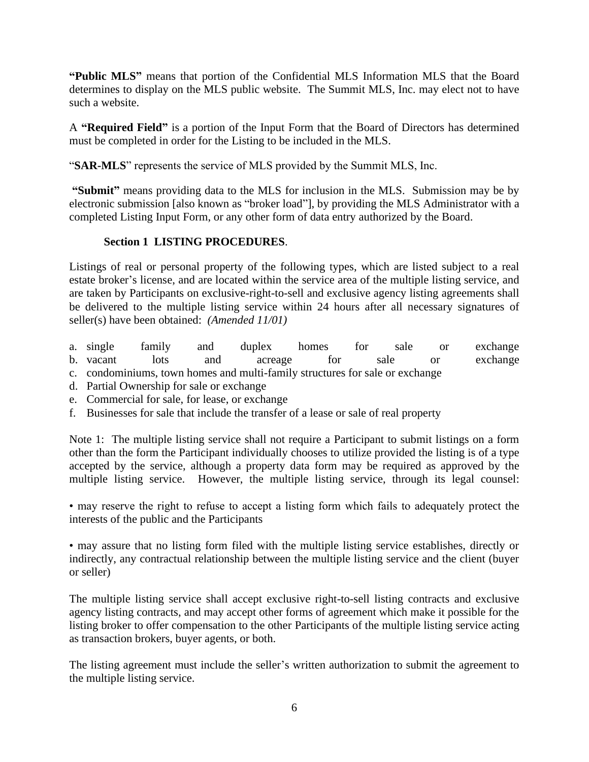**"Public MLS"** means that portion of the Confidential MLS Information MLS that the Board determines to display on the MLS public website. The Summit MLS, Inc. may elect not to have such a website.

A **"Required Field"** is a portion of the Input Form that the Board of Directors has determined must be completed in order for the Listing to be included in the MLS.

"**SAR-MLS**" represents the service of MLS provided by the Summit MLS, Inc.

**"Submit"** means providing data to the MLS for inclusion in the MLS. Submission may be by electronic submission [also known as "broker load"], by providing the MLS Administrator with a completed Listing Input Form, or any other form of data entry authorized by the Board.

#### **Section 1 LISTING PROCEDURES**.

Listings of real or personal property of the following types, which are listed subject to a real estate broker's license, and are located within the service area of the multiple listing service, and are taken by Participants on exclusive-right-to-sell and exclusive agency listing agreements shall be delivered to the multiple listing service within 24 hours after all necessary signatures of seller(s) have been obtained: *(Amended 11/01)*

- a. single family and duplex homes for sale or exchange
- b. vacant lots and acreage for sale or exchange
- c. condominiums, town homes and multi-family structures for sale or exchange
- d. Partial Ownership for sale or exchange
- e. Commercial for sale, for lease, or exchange
- f. Businesses for sale that include the transfer of a lease or sale of real property

Note 1: The multiple listing service shall not require a Participant to submit listings on a form other than the form the Participant individually chooses to utilize provided the listing is of a type accepted by the service, although a property data form may be required as approved by the multiple listing service. However, the multiple listing service, through its legal counsel:

• may reserve the right to refuse to accept a listing form which fails to adequately protect the interests of the public and the Participants

• may assure that no listing form filed with the multiple listing service establishes, directly or indirectly, any contractual relationship between the multiple listing service and the client (buyer or seller)

The multiple listing service shall accept exclusive right-to-sell listing contracts and exclusive agency listing contracts, and may accept other forms of agreement which make it possible for the listing broker to offer compensation to the other Participants of the multiple listing service acting as transaction brokers, buyer agents, or both.

The listing agreement must include the seller's written authorization to submit the agreement to the multiple listing service.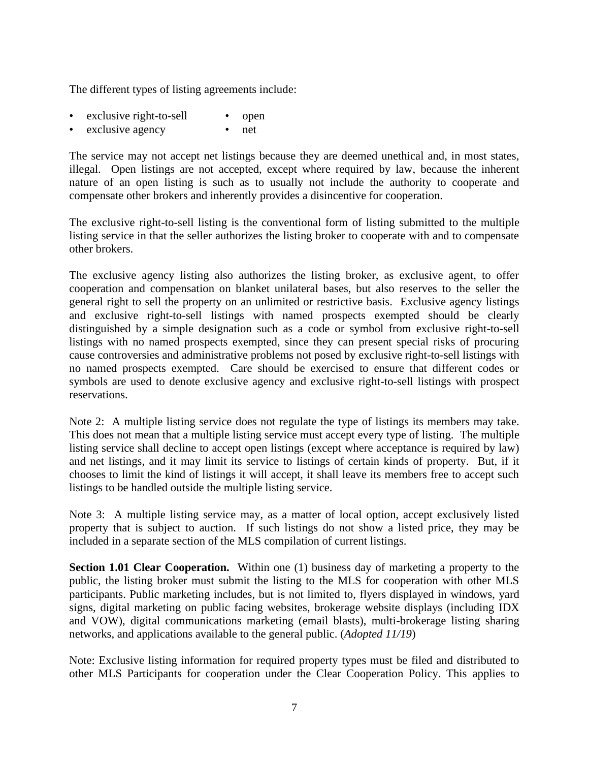The different types of listing agreements include:

- exclusive right-to-sell open
- exclusive agency net

The service may not accept net listings because they are deemed unethical and, in most states, illegal. Open listings are not accepted, except where required by law, because the inherent nature of an open listing is such as to usually not include the authority to cooperate and compensate other brokers and inherently provides a disincentive for cooperation.

The exclusive right-to-sell listing is the conventional form of listing submitted to the multiple listing service in that the seller authorizes the listing broker to cooperate with and to compensate other brokers.

The exclusive agency listing also authorizes the listing broker, as exclusive agent, to offer cooperation and compensation on blanket unilateral bases, but also reserves to the seller the general right to sell the property on an unlimited or restrictive basis. Exclusive agency listings and exclusive right-to-sell listings with named prospects exempted should be clearly distinguished by a simple designation such as a code or symbol from exclusive right-to-sell listings with no named prospects exempted, since they can present special risks of procuring cause controversies and administrative problems not posed by exclusive right-to-sell listings with no named prospects exempted. Care should be exercised to ensure that different codes or symbols are used to denote exclusive agency and exclusive right-to-sell listings with prospect reservations.

Note 2: A multiple listing service does not regulate the type of listings its members may take. This does not mean that a multiple listing service must accept every type of listing. The multiple listing service shall decline to accept open listings (except where acceptance is required by law) and net listings, and it may limit its service to listings of certain kinds of property. But, if it chooses to limit the kind of listings it will accept, it shall leave its members free to accept such listings to be handled outside the multiple listing service.

Note 3: A multiple listing service may, as a matter of local option, accept exclusively listed property that is subject to auction. If such listings do not show a listed price, they may be included in a separate section of the MLS compilation of current listings.

**Section 1.01 Clear Cooperation.** Within one (1) business day of marketing a property to the public, the listing broker must submit the listing to the MLS for cooperation with other MLS participants. Public marketing includes, but is not limited to, flyers displayed in windows, yard signs, digital marketing on public facing websites, brokerage website displays (including IDX and VOW), digital communications marketing (email blasts), multi-brokerage listing sharing networks, and applications available to the general public. (*Adopted 11/19*)

Note: Exclusive listing information for required property types must be filed and distributed to other MLS Participants for cooperation under the Clear Cooperation Policy. This applies to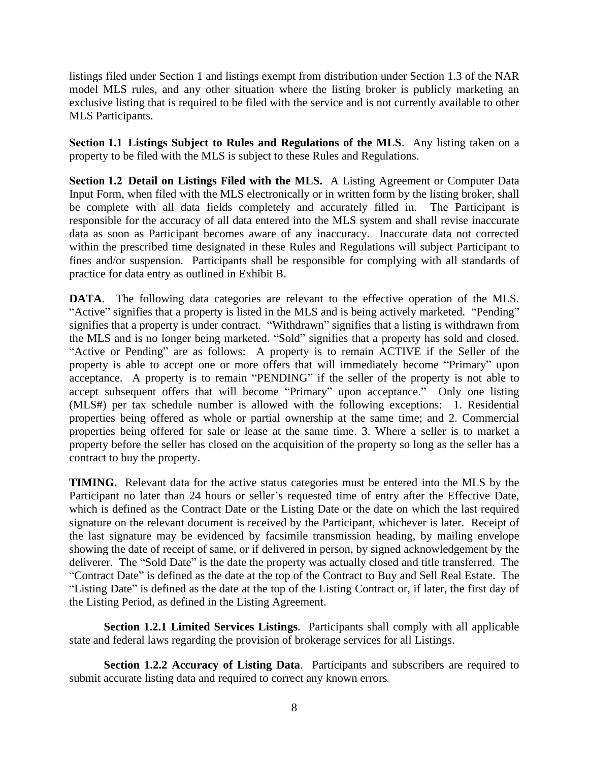listings filed under Section 1 and listings exempt from distribution under Section 1.3 of the NAR model MLS rules, and any other situation where the listing broker is publicly marketing an exclusive listing that is required to be filed with the service and is not currently available to other MLS Participants.

**Section 1.1 Listings Subject to Rules and Regulations of the MLS**. Any listing taken on a property to be filed with the MLS is subject to these Rules and Regulations.

**Section 1.2 Detail on Listings Filed with the MLS.** A Listing Agreement or Computer Data Input Form, when filed with the MLS electronically or in written form by the listing broker, shall be complete with all data fields completely and accurately filled in. The Participant is responsible for the accuracy of all data entered into the MLS system and shall revise inaccurate data as soon as Participant becomes aware of any inaccuracy. Inaccurate data not corrected within the prescribed time designated in these Rules and Regulations will subject Participant to fines and/or suspension. Participants shall be responsible for complying with all standards of practice for data entry as outlined in Exhibit B.

**DATA**. The following data categories are relevant to the effective operation of the MLS. "Active" signifies that a property is listed in the MLS and is being actively marketed. "Pending" signifies that a property is under contract. "Withdrawn" signifies that a listing is withdrawn from the MLS and is no longer being marketed. "Sold" signifies that a property has sold and closed. "Active or Pending" are as follows: A property is to remain ACTIVE if the Seller of the property is able to accept one or more offers that will immediately become "Primary" upon acceptance. A property is to remain "PENDING" if the seller of the property is not able to accept subsequent offers that will become "Primary" upon acceptance." Only one listing (MLS#) per tax schedule number is allowed with the following exceptions: 1. Residential properties being offered as whole or partial ownership at the same time; and 2. Commercial properties being offered for sale or lease at the same time. 3. Where a seller is to market a property before the seller has closed on the acquisition of the property so long as the seller has a contract to buy the property.

**TIMING.** Relevant data for the active status categories must be entered into the MLS by the Participant no later than 24 hours or seller's requested time of entry after the Effective Date, which is defined as the Contract Date or the Listing Date or the date on which the last required signature on the relevant document is received by the Participant, whichever is later. Receipt of the last signature may be evidenced by facsimile transmission heading, by mailing envelope showing the date of receipt of same, or if delivered in person, by signed acknowledgement by the deliverer. The "Sold Date" is the date the property was actually closed and title transferred. The "Contract Date" is defined as the date at the top of the Contract to Buy and Sell Real Estate. The "Listing Date" is defined as the date at the top of the Listing Contract or, if later, the first day of the Listing Period, as defined in the Listing Agreement.

**Section 1.2.1 Limited Services Listings**. Participants shall comply with all applicable state and federal laws regarding the provision of brokerage services for all Listings.

**Section 1.2.2 Accuracy of Listing Data**. Participants and subscribers are required to submit accurate listing data and required to correct any known errors.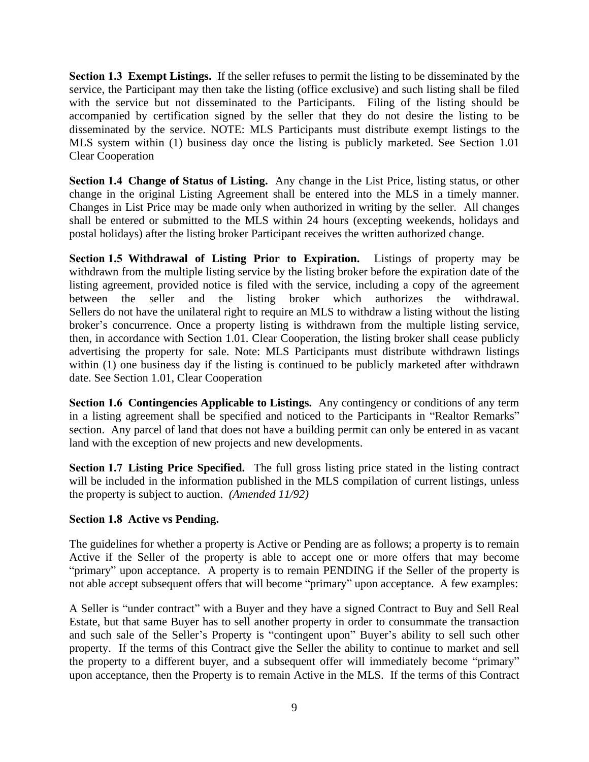**Section 1.3 Exempt Listings.** If the seller refuses to permit the listing to be disseminated by the service, the Participant may then take the listing (office exclusive) and such listing shall be filed with the service but not disseminated to the Participants. Filing of the listing should be accompanied by certification signed by the seller that they do not desire the listing to be disseminated by the service. NOTE: MLS Participants must distribute exempt listings to the MLS system within (1) business day once the listing is publicly marketed. See Section 1.01 Clear Cooperation

**Section 1.4 Change of Status of Listing.** Any change in the List Price, listing status, or other change in the original Listing Agreement shall be entered into the MLS in a timely manner. Changes in List Price may be made only when authorized in writing by the seller. All changes shall be entered or submitted to the MLS within 24 hours (excepting weekends, holidays and postal holidays) after the listing broker Participant receives the written authorized change.

**Section 1.5 Withdrawal of Listing Prior to Expiration.** Listings of property may be withdrawn from the multiple listing service by the listing broker before the expiration date of the listing agreement, provided notice is filed with the service, including a copy of the agreement between the seller and the listing broker which authorizes the withdrawal. Sellers do not have the unilateral right to require an MLS to withdraw a listing without the listing broker's concurrence. Once a property listing is withdrawn from the multiple listing service, then, in accordance with Section 1.01. Clear Cooperation, the listing broker shall cease publicly advertising the property for sale. Note: MLS Participants must distribute withdrawn listings within (1) one business day if the listing is continued to be publicly marketed after withdrawn date. See Section 1.01, Clear Cooperation

**Section 1.6 Contingencies Applicable to Listings.** Any contingency or conditions of any term in a listing agreement shall be specified and noticed to the Participants in "Realtor Remarks" section. Any parcel of land that does not have a building permit can only be entered in as vacant land with the exception of new projects and new developments.

**Section 1.7 Listing Price Specified.** The full gross listing price stated in the listing contract will be included in the information published in the MLS compilation of current listings, unless the property is subject to auction. *(Amended 11/92)*

#### **Section 1.8 Active vs Pending.**

The guidelines for whether a property is Active or Pending are as follows; a property is to remain Active if the Seller of the property is able to accept one or more offers that may become "primary" upon acceptance. A property is to remain PENDING if the Seller of the property is not able accept subsequent offers that will become "primary" upon acceptance. A few examples:

A Seller is "under contract" with a Buyer and they have a signed Contract to Buy and Sell Real Estate, but that same Buyer has to sell another property in order to consummate the transaction and such sale of the Seller's Property is "contingent upon" Buyer's ability to sell such other property. If the terms of this Contract give the Seller the ability to continue to market and sell the property to a different buyer, and a subsequent offer will immediately become "primary" upon acceptance, then the Property is to remain Active in the MLS. If the terms of this Contract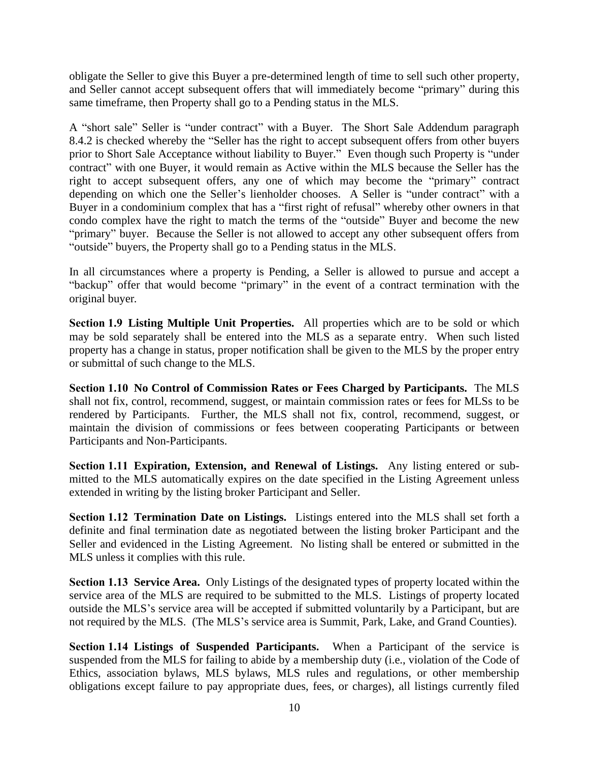obligate the Seller to give this Buyer a pre-determined length of time to sell such other property, and Seller cannot accept subsequent offers that will immediately become "primary" during this same timeframe, then Property shall go to a Pending status in the MLS.

A "short sale" Seller is "under contract" with a Buyer. The Short Sale Addendum paragraph 8.4.2 is checked whereby the "Seller has the right to accept subsequent offers from other buyers prior to Short Sale Acceptance without liability to Buyer." Even though such Property is "under contract" with one Buyer, it would remain as Active within the MLS because the Seller has the right to accept subsequent offers, any one of which may become the "primary" contract depending on which one the Seller's lienholder chooses. A Seller is "under contract" with a Buyer in a condominium complex that has a "first right of refusal" whereby other owners in that condo complex have the right to match the terms of the "outside" Buyer and become the new "primary" buyer. Because the Seller is not allowed to accept any other subsequent offers from "outside" buyers, the Property shall go to a Pending status in the MLS.

In all circumstances where a property is Pending, a Seller is allowed to pursue and accept a "backup" offer that would become "primary" in the event of a contract termination with the original buyer*.*

**Section 1.9 Listing Multiple Unit Properties.** All properties which are to be sold or which may be sold separately shall be entered into the MLS as a separate entry. When such listed property has a change in status, proper notification shall be given to the MLS by the proper entry or submittal of such change to the MLS.

**Section 1.10 No Control of Commission Rates or Fees Charged by Participants.** The MLS shall not fix, control, recommend, suggest, or maintain commission rates or fees for MLSs to be rendered by Participants. Further, the MLS shall not fix, control, recommend, suggest, or maintain the division of commissions or fees between cooperating Participants or between Participants and Non-Participants.

**Section 1.11 Expiration, Extension, and Renewal of Listings.** Any listing entered or submitted to the MLS automatically expires on the date specified in the Listing Agreement unless extended in writing by the listing broker Participant and Seller.

**Section 1.12 Termination Date on Listings.** Listings entered into the MLS shall set forth a definite and final termination date as negotiated between the listing broker Participant and the Seller and evidenced in the Listing Agreement. No listing shall be entered or submitted in the MLS unless it complies with this rule.

**Section 1.13 Service Area.** Only Listings of the designated types of property located within the service area of the MLS are required to be submitted to the MLS. Listings of property located outside the MLS's service area will be accepted if submitted voluntarily by a Participant, but are not required by the MLS. (The MLS's service area is Summit, Park, Lake, and Grand Counties).

**Section 1.14 Listings of Suspended Participants.** When a Participant of the service is suspended from the MLS for failing to abide by a membership duty (i.e., violation of the Code of Ethics, association bylaws, MLS bylaws, MLS rules and regulations, or other membership obligations except failure to pay appropriate dues, fees, or charges), all listings currently filed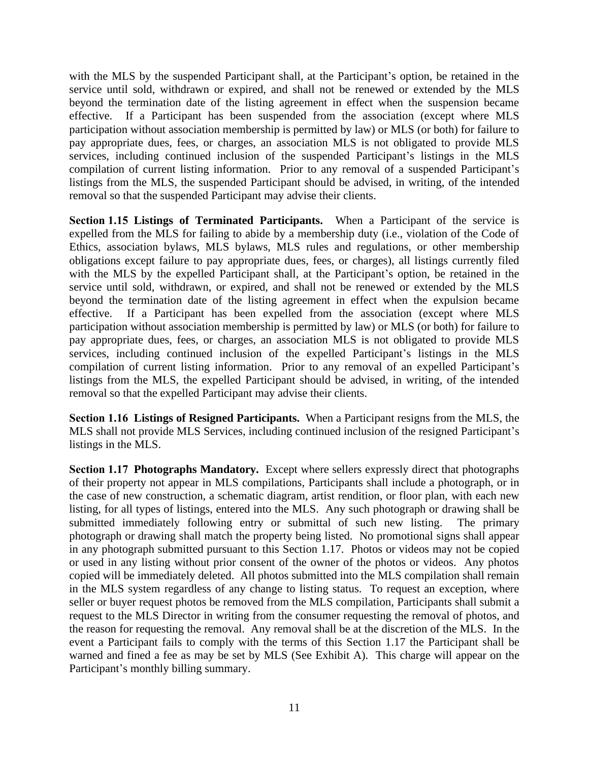with the MLS by the suspended Participant shall, at the Participant's option, be retained in the service until sold, withdrawn or expired, and shall not be renewed or extended by the MLS beyond the termination date of the listing agreement in effect when the suspension became effective. If a Participant has been suspended from the association (except where MLS participation without association membership is permitted by law) or MLS (or both) for failure to pay appropriate dues, fees, or charges, an association MLS is not obligated to provide MLS services, including continued inclusion of the suspended Participant's listings in the MLS compilation of current listing information. Prior to any removal of a suspended Participant's listings from the MLS, the suspended Participant should be advised, in writing, of the intended removal so that the suspended Participant may advise their clients.

**Section 1.15 Listings of Terminated Participants.** When a Participant of the service is expelled from the MLS for failing to abide by a membership duty (i.e., violation of the Code of Ethics, association bylaws, MLS bylaws, MLS rules and regulations, or other membership obligations except failure to pay appropriate dues, fees, or charges), all listings currently filed with the MLS by the expelled Participant shall, at the Participant's option, be retained in the service until sold, withdrawn, or expired, and shall not be renewed or extended by the MLS beyond the termination date of the listing agreement in effect when the expulsion became effective. If a Participant has been expelled from the association (except where MLS participation without association membership is permitted by law) or MLS (or both) for failure to pay appropriate dues, fees, or charges, an association MLS is not obligated to provide MLS services, including continued inclusion of the expelled Participant's listings in the MLS compilation of current listing information. Prior to any removal of an expelled Participant's listings from the MLS, the expelled Participant should be advised, in writing, of the intended removal so that the expelled Participant may advise their clients.

**Section 1.16 Listings of Resigned Participants.** When a Participant resigns from the MLS, the MLS shall not provide MLS Services, including continued inclusion of the resigned Participant's listings in the MLS.

**Section 1.17 Photographs Mandatory.** Except where sellers expressly direct that photographs of their property not appear in MLS compilations, Participants shall include a photograph, or in the case of new construction, a schematic diagram, artist rendition, or floor plan, with each new listing, for all types of listings, entered into the MLS. Any such photograph or drawing shall be submitted immediately following entry or submittal of such new listing. The primary photograph or drawing shall match the property being listed. No promotional signs shall appear in any photograph submitted pursuant to this Section 1.17. Photos or videos may not be copied or used in any listing without prior consent of the owner of the photos or videos. Any photos copied will be immediately deleted. All photos submitted into the MLS compilation shall remain in the MLS system regardless of any change to listing status. To request an exception, where seller or buyer request photos be removed from the MLS compilation, Participants shall submit a request to the MLS Director in writing from the consumer requesting the removal of photos, and the reason for requesting the removal. Any removal shall be at the discretion of the MLS. In the event a Participant fails to comply with the terms of this Section 1.17 the Participant shall be warned and fined a fee as may be set by MLS (See Exhibit A). This charge will appear on the Participant's monthly billing summary.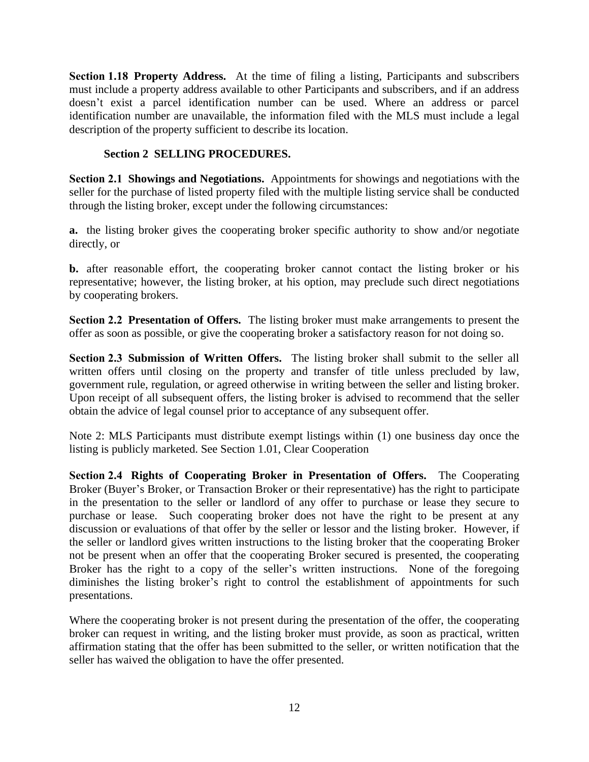**Section 1.18 Property Address.** At the time of filing a listing, Participants and subscribers must include a property address available to other Participants and subscribers, and if an address doesn't exist a parcel identification number can be used. Where an address or parcel identification number are unavailable, the information filed with the MLS must include a legal description of the property sufficient to describe its location.

#### **Section 2 SELLING PROCEDURES.**

**Section 2.1 Showings and Negotiations.** Appointments for showings and negotiations with the seller for the purchase of listed property filed with the multiple listing service shall be conducted through the listing broker, except under the following circumstances:

**a.** the listing broker gives the cooperating broker specific authority to show and/or negotiate directly, or

**b.** after reasonable effort, the cooperating broker cannot contact the listing broker or his representative; however, the listing broker, at his option, may preclude such direct negotiations by cooperating brokers.

**Section 2.2 Presentation of Offers.** The listing broker must make arrangements to present the offer as soon as possible, or give the cooperating broker a satisfactory reason for not doing so.

**Section 2.3 Submission of Written Offers.** The listing broker shall submit to the seller all written offers until closing on the property and transfer of title unless precluded by law, government rule, regulation, or agreed otherwise in writing between the seller and listing broker. Upon receipt of all subsequent offers, the listing broker is advised to recommend that the seller obtain the advice of legal counsel prior to acceptance of any subsequent offer.

Note 2: MLS Participants must distribute exempt listings within (1) one business day once the listing is publicly marketed. See Section 1.01, Clear Cooperation

**Section 2.4 Rights of Cooperating Broker in Presentation of Offers.** The Cooperating Broker (Buyer's Broker, or Transaction Broker or their representative) has the right to participate in the presentation to the seller or landlord of any offer to purchase or lease they secure to purchase or lease. Such cooperating broker does not have the right to be present at any discussion or evaluations of that offer by the seller or lessor and the listing broker. However, if the seller or landlord gives written instructions to the listing broker that the cooperating Broker not be present when an offer that the cooperating Broker secured is presented, the cooperating Broker has the right to a copy of the seller's written instructions. None of the foregoing diminishes the listing broker's right to control the establishment of appointments for such presentations.

Where the cooperating broker is not present during the presentation of the offer, the cooperating broker can request in writing, and the listing broker must provide, as soon as practical, written affirmation stating that the offer has been submitted to the seller, or written notification that the seller has waived the obligation to have the offer presented.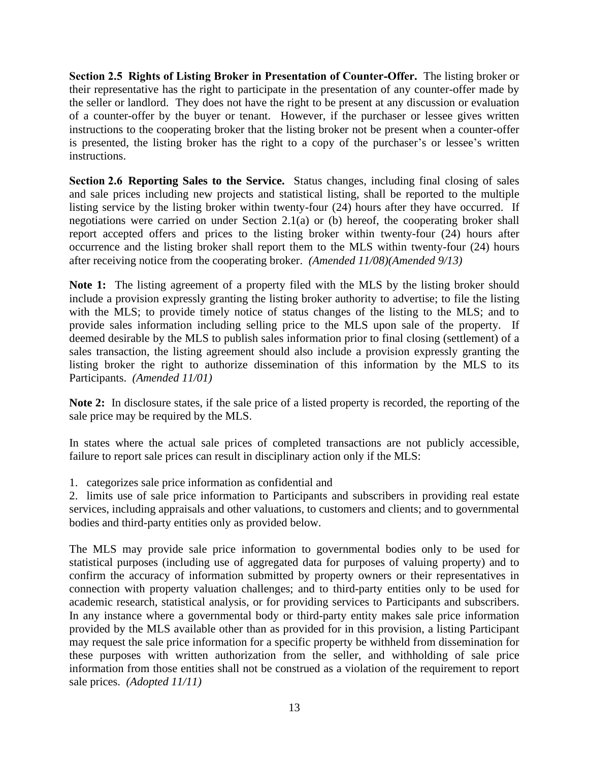**Section 2.5 Rights of Listing Broker in Presentation of Counter-Offer.** The listing broker or their representative has the right to participate in the presentation of any counter-offer made by the seller or landlord. They does not have the right to be present at any discussion or evaluation of a counter-offer by the buyer or tenant. However, if the purchaser or lessee gives written instructions to the cooperating broker that the listing broker not be present when a counter-offer is presented, the listing broker has the right to a copy of the purchaser's or lessee's written instructions.

**Section 2.6 Reporting Sales to the Service.** Status changes, including final closing of sales and sale prices including new projects and statistical listing, shall be reported to the multiple listing service by the listing broker within twenty-four (24) hours after they have occurred. If negotiations were carried on under Section 2.1(a) or (b) hereof, the cooperating broker shall report accepted offers and prices to the listing broker within twenty-four (24) hours after occurrence and the listing broker shall report them to the MLS within twenty-four (24) hours after receiving notice from the cooperating broker. *(Amended 11/08)(Amended 9/13)*

Note 1: The listing agreement of a property filed with the MLS by the listing broker should include a provision expressly granting the listing broker authority to advertise; to file the listing with the MLS; to provide timely notice of status changes of the listing to the MLS; and to provide sales information including selling price to the MLS upon sale of the property. If deemed desirable by the MLS to publish sales information prior to final closing (settlement) of a sales transaction, the listing agreement should also include a provision expressly granting the listing broker the right to authorize dissemination of this information by the MLS to its Participants. *(Amended 11/01)*

**Note 2:** In disclosure states, if the sale price of a listed property is recorded, the reporting of the sale price may be required by the MLS.

In states where the actual sale prices of completed transactions are not publicly accessible, failure to report sale prices can result in disciplinary action only if the MLS:

1. categorizes sale price information as confidential and

2. limits use of sale price information to Participants and subscribers in providing real estate services, including appraisals and other valuations, to customers and clients; and to governmental bodies and third-party entities only as provided below.

The MLS may provide sale price information to governmental bodies only to be used for statistical purposes (including use of aggregated data for purposes of valuing property) and to confirm the accuracy of information submitted by property owners or their representatives in connection with property valuation challenges; and to third-party entities only to be used for academic research, statistical analysis, or for providing services to Participants and subscribers. In any instance where a governmental body or third-party entity makes sale price information provided by the MLS available other than as provided for in this provision, a listing Participant may request the sale price information for a specific property be withheld from dissemination for these purposes with written authorization from the seller, and withholding of sale price information from those entities shall not be construed as a violation of the requirement to report sale prices. *(Adopted 11/11)*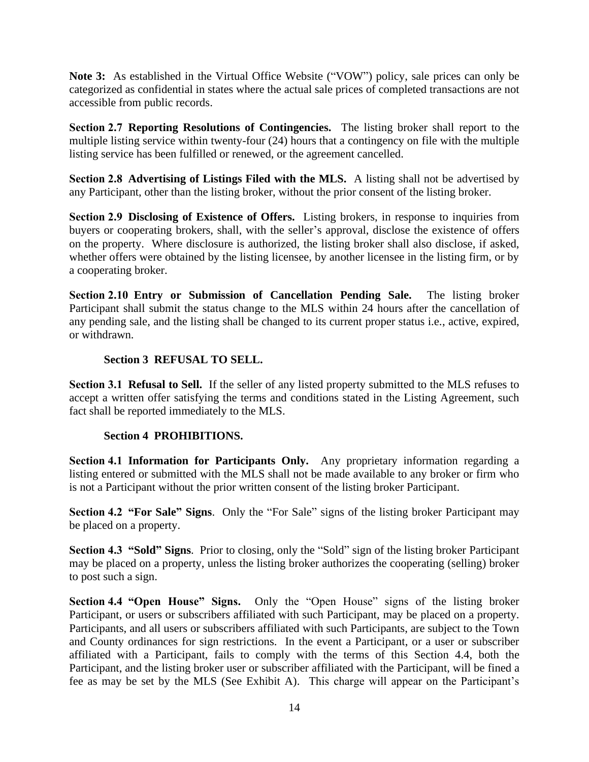**Note 3:** As established in the Virtual Office Website ("VOW") policy, sale prices can only be categorized as confidential in states where the actual sale prices of completed transactions are not accessible from public records.

**Section 2.7 Reporting Resolutions of Contingencies.** The listing broker shall report to the multiple listing service within twenty-four (24) hours that a contingency on file with the multiple listing service has been fulfilled or renewed, or the agreement cancelled.

**Section 2.8 Advertising of Listings Filed with the MLS.** A listing shall not be advertised by any Participant, other than the listing broker, without the prior consent of the listing broker.

**Section 2.9 Disclosing of Existence of Offers.** Listing brokers, in response to inquiries from buyers or cooperating brokers, shall, with the seller's approval, disclose the existence of offers on the property. Where disclosure is authorized, the listing broker shall also disclose, if asked, whether offers were obtained by the listing licensee, by another licensee in the listing firm, or by a cooperating broker.

**Section 2.10 Entry or Submission of Cancellation Pending Sale.** The listing broker Participant shall submit the status change to the MLS within 24 hours after the cancellation of any pending sale, and the listing shall be changed to its current proper status i.e., active, expired, or withdrawn.

#### **Section 3 REFUSAL TO SELL.**

**Section 3.1 Refusal to Sell.** If the seller of any listed property submitted to the MLS refuses to accept a written offer satisfying the terms and conditions stated in the Listing Agreement, such fact shall be reported immediately to the MLS.

#### **Section 4 PROHIBITIONS.**

**Section 4.1 Information for Participants Only.** Any proprietary information regarding a listing entered or submitted with the MLS shall not be made available to any broker or firm who is not a Participant without the prior written consent of the listing broker Participant.

**Section 4.2 "For Sale" Signs**. Only the "For Sale" signs of the listing broker Participant may be placed on a property.

**Section 4.3 "Sold" Signs**. Prior to closing, only the "Sold" sign of the listing broker Participant may be placed on a property, unless the listing broker authorizes the cooperating (selling) broker to post such a sign.

**Section 4.4 "Open House" Signs.** Only the "Open House" signs of the listing broker Participant, or users or subscribers affiliated with such Participant, may be placed on a property. Participants, and all users or subscribers affiliated with such Participants, are subject to the Town and County ordinances for sign restrictions. In the event a Participant, or a user or subscriber affiliated with a Participant, fails to comply with the terms of this Section 4.4, both the Participant, and the listing broker user or subscriber affiliated with the Participant, will be fined a fee as may be set by the MLS (See Exhibit A). This charge will appear on the Participant's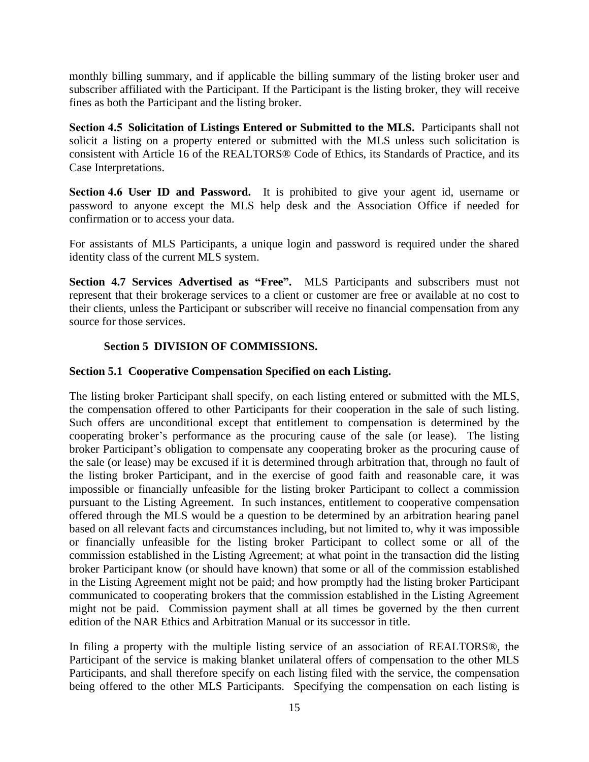monthly billing summary, and if applicable the billing summary of the listing broker user and subscriber affiliated with the Participant. If the Participant is the listing broker, they will receive fines as both the Participant and the listing broker.

**Section 4.5 Solicitation of Listings Entered or Submitted to the MLS.** Participants shall not solicit a listing on a property entered or submitted with the MLS unless such solicitation is consistent with Article 16 of the REALTORS® Code of Ethics, its Standards of Practice, and its Case Interpretations.

**Section 4.6 User ID and Password.** It is prohibited to give your agent id, username or password to anyone except the MLS help desk and the Association Office if needed for confirmation or to access your data.

For assistants of MLS Participants, a unique login and password is required under the shared identity class of the current MLS system.

**Section 4.7 Services Advertised as "Free".** MLS Participants and subscribers must not represent that their brokerage services to a client or customer are free or available at no cost to their clients, unless the Participant or subscriber will receive no financial compensation from any source for those services.

#### **Section 5 DIVISION OF COMMISSIONS.**

#### **Section 5.1 Cooperative Compensation Specified on each Listing.**

The listing broker Participant shall specify, on each listing entered or submitted with the MLS, the compensation offered to other Participants for their cooperation in the sale of such listing. Such offers are unconditional except that entitlement to compensation is determined by the cooperating broker's performance as the procuring cause of the sale (or lease). The listing broker Participant's obligation to compensate any cooperating broker as the procuring cause of the sale (or lease) may be excused if it is determined through arbitration that, through no fault of the listing broker Participant, and in the exercise of good faith and reasonable care, it was impossible or financially unfeasible for the listing broker Participant to collect a commission pursuant to the Listing Agreement. In such instances, entitlement to cooperative compensation offered through the MLS would be a question to be determined by an arbitration hearing panel based on all relevant facts and circumstances including, but not limited to, why it was impossible or financially unfeasible for the listing broker Participant to collect some or all of the commission established in the Listing Agreement; at what point in the transaction did the listing broker Participant know (or should have known) that some or all of the commission established in the Listing Agreement might not be paid; and how promptly had the listing broker Participant communicated to cooperating brokers that the commission established in the Listing Agreement might not be paid. Commission payment shall at all times be governed by the then current edition of the NAR Ethics and Arbitration Manual or its successor in title.

In filing a property with the multiple listing service of an association of REALTORS®, the Participant of the service is making blanket unilateral offers of compensation to the other MLS Participants, and shall therefore specify on each listing filed with the service, the compensation being offered to the other MLS Participants. Specifying the compensation on each listing is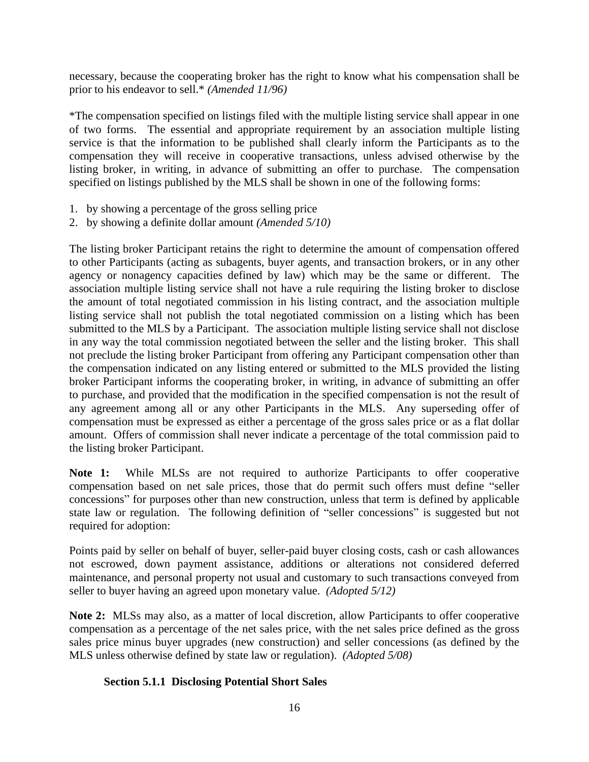necessary, because the cooperating broker has the right to know what his compensation shall be prior to his endeavor to sell.\* *(Amended 11/96)*

\*The compensation specified on listings filed with the multiple listing service shall appear in one of two forms. The essential and appropriate requirement by an association multiple listing service is that the information to be published shall clearly inform the Participants as to the compensation they will receive in cooperative transactions, unless advised otherwise by the listing broker, in writing, in advance of submitting an offer to purchase. The compensation specified on listings published by the MLS shall be shown in one of the following forms:

- 1. by showing a percentage of the gross selling price
- 2. by showing a definite dollar amount *(Amended 5/10)*

The listing broker Participant retains the right to determine the amount of compensation offered to other Participants (acting as subagents, buyer agents, and transaction brokers, or in any other agency or nonagency capacities defined by law) which may be the same or different. The association multiple listing service shall not have a rule requiring the listing broker to disclose the amount of total negotiated commission in his listing contract, and the association multiple listing service shall not publish the total negotiated commission on a listing which has been submitted to the MLS by a Participant. The association multiple listing service shall not disclose in any way the total commission negotiated between the seller and the listing broker. This shall not preclude the listing broker Participant from offering any Participant compensation other than the compensation indicated on any listing entered or submitted to the MLS provided the listing broker Participant informs the cooperating broker, in writing, in advance of submitting an offer to purchase, and provided that the modification in the specified compensation is not the result of any agreement among all or any other Participants in the MLS. Any superseding offer of compensation must be expressed as either a percentage of the gross sales price or as a flat dollar amount. Offers of commission shall never indicate a percentage of the total commission paid to the listing broker Participant.

**Note 1:** While MLSs are not required to authorize Participants to offer cooperative compensation based on net sale prices, those that do permit such offers must define "seller concessions" for purposes other than new construction, unless that term is defined by applicable state law or regulation. The following definition of "seller concessions" is suggested but not required for adoption:

Points paid by seller on behalf of buyer, seller-paid buyer closing costs, cash or cash allowances not escrowed, down payment assistance, additions or alterations not considered deferred maintenance, and personal property not usual and customary to such transactions conveyed from seller to buyer having an agreed upon monetary value. *(Adopted 5/12)*

**Note 2:** MLSs may also, as a matter of local discretion, allow Participants to offer cooperative compensation as a percentage of the net sales price, with the net sales price defined as the gross sales price minus buyer upgrades (new construction) and seller concessions (as defined by the MLS unless otherwise defined by state law or regulation). *(Adopted 5/08)*

#### **Section 5.1.1 Disclosing Potential Short Sales**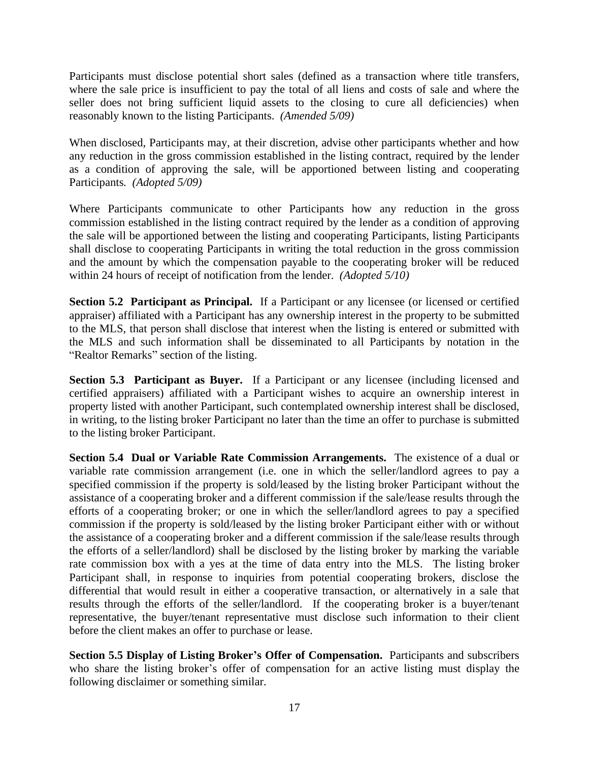Participants must disclose potential short sales (defined as a transaction where title transfers, where the sale price is insufficient to pay the total of all liens and costs of sale and where the seller does not bring sufficient liquid assets to the closing to cure all deficiencies) when reasonably known to the listing Participants. *(Amended 5/09)*

When disclosed, Participants may, at their discretion, advise other participants whether and how any reduction in the gross commission established in the listing contract, required by the lender as a condition of approving the sale, will be apportioned between listing and cooperating Participants*. (Adopted 5/09)*

Where Participants communicate to other Participants how any reduction in the gross commission established in the listing contract required by the lender as a condition of approving the sale will be apportioned between the listing and cooperating Participants, listing Participants shall disclose to cooperating Participants in writing the total reduction in the gross commission and the amount by which the compensation payable to the cooperating broker will be reduced within 24 hours of receipt of notification from the lender. *(Adopted 5/10)*

**Section 5.2 Participant as Principal.** If a Participant or any licensee (or licensed or certified appraiser) affiliated with a Participant has any ownership interest in the property to be submitted to the MLS, that person shall disclose that interest when the listing is entered or submitted with the MLS and such information shall be disseminated to all Participants by notation in the "Realtor Remarks" section of the listing.

**Section 5.3 Participant as Buyer.** If a Participant or any licensee (including licensed and certified appraisers) affiliated with a Participant wishes to acquire an ownership interest in property listed with another Participant, such contemplated ownership interest shall be disclosed, in writing, to the listing broker Participant no later than the time an offer to purchase is submitted to the listing broker Participant.

**Section 5.4 Dual or Variable Rate Commission Arrangements.** The existence of a dual or variable rate commission arrangement (i.e. one in which the seller/landlord agrees to pay a specified commission if the property is sold/leased by the listing broker Participant without the assistance of a cooperating broker and a different commission if the sale/lease results through the efforts of a cooperating broker; or one in which the seller/landlord agrees to pay a specified commission if the property is sold/leased by the listing broker Participant either with or without the assistance of a cooperating broker and a different commission if the sale/lease results through the efforts of a seller/landlord) shall be disclosed by the listing broker by marking the variable rate commission box with a yes at the time of data entry into the MLS. The listing broker Participant shall, in response to inquiries from potential cooperating brokers, disclose the differential that would result in either a cooperative transaction, or alternatively in a sale that results through the efforts of the seller/landlord. If the cooperating broker is a buyer/tenant representative, the buyer/tenant representative must disclose such information to their client before the client makes an offer to purchase or lease.

**Section 5.5 Display of Listing Broker's Offer of Compensation.** Participants and subscribers who share the listing broker's offer of compensation for an active listing must display the following disclaimer or something similar.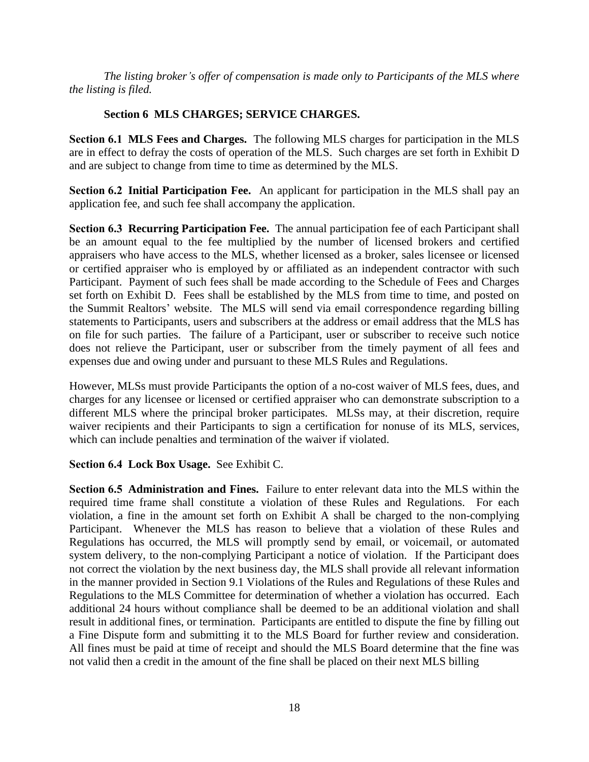*The listing broker's offer of compensation is made only to Participants of the MLS where the listing is filed.* 

#### **Section 6 MLS CHARGES; SERVICE CHARGES.**

**Section 6.1 MLS Fees and Charges.** The following MLS charges for participation in the MLS are in effect to defray the costs of operation of the MLS. Such charges are set forth in Exhibit D and are subject to change from time to time as determined by the MLS.

**Section 6.2 Initial Participation Fee.** An applicant for participation in the MLS shall pay an application fee, and such fee shall accompany the application.

**Section 6.3 Recurring Participation Fee.** The annual participation fee of each Participant shall be an amount equal to the fee multiplied by the number of licensed brokers and certified appraisers who have access to the MLS, whether licensed as a broker, sales licensee or licensed or certified appraiser who is employed by or affiliated as an independent contractor with such Participant. Payment of such fees shall be made according to the Schedule of Fees and Charges set forth on Exhibit D. Fees shall be established by the MLS from time to time, and posted on the Summit Realtors' website. The MLS will send via email correspondence regarding billing statements to Participants, users and subscribers at the address or email address that the MLS has on file for such parties. The failure of a Participant, user or subscriber to receive such notice does not relieve the Participant, user or subscriber from the timely payment of all fees and expenses due and owing under and pursuant to these MLS Rules and Regulations.

However, MLSs must provide Participants the option of a no-cost waiver of MLS fees, dues, and charges for any licensee or licensed or certified appraiser who can demonstrate subscription to a different MLS where the principal broker participates. MLSs may, at their discretion, require waiver recipients and their Participants to sign a certification for nonuse of its MLS, services, which can include penalties and termination of the waiver if violated.

#### **Section 6.4 Lock Box Usage.** See Exhibit C.

**Section 6.5 Administration and Fines.** Failure to enter relevant data into the MLS within the required time frame shall constitute a violation of these Rules and Regulations. For each violation, a fine in the amount set forth on Exhibit A shall be charged to the non-complying Participant. Whenever the MLS has reason to believe that a violation of these Rules and Regulations has occurred, the MLS will promptly send by email, or voicemail, or automated system delivery, to the non-complying Participant a notice of violation. If the Participant does not correct the violation by the next business day, the MLS shall provide all relevant information in the manner provided in Section 9.1 Violations of the Rules and Regulations of these Rules and Regulations to the MLS Committee for determination of whether a violation has occurred. Each additional 24 hours without compliance shall be deemed to be an additional violation and shall result in additional fines, or termination. Participants are entitled to dispute the fine by filling out a Fine Dispute form and submitting it to the MLS Board for further review and consideration. All fines must be paid at time of receipt and should the MLS Board determine that the fine was not valid then a credit in the amount of the fine shall be placed on their next MLS billing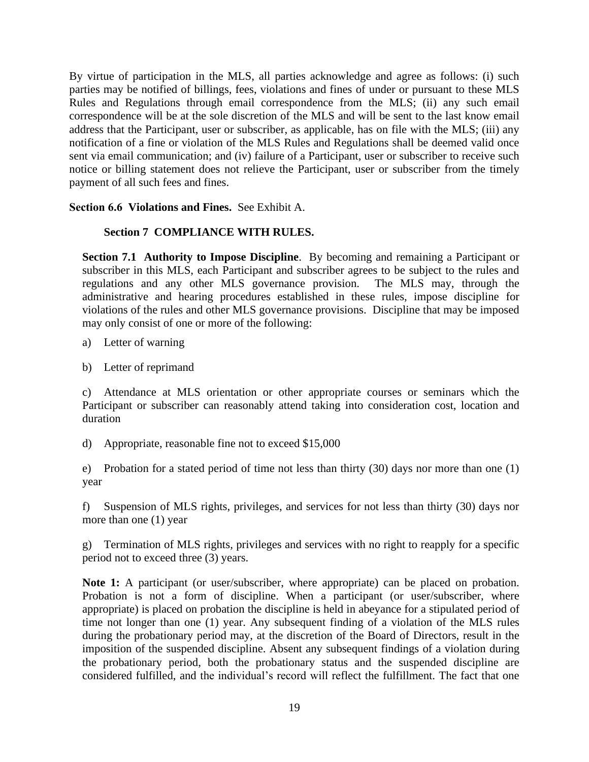By virtue of participation in the MLS, all parties acknowledge and agree as follows: (i) such parties may be notified of billings, fees, violations and fines of under or pursuant to these MLS Rules and Regulations through email correspondence from the MLS; (ii) any such email correspondence will be at the sole discretion of the MLS and will be sent to the last know email address that the Participant, user or subscriber, as applicable, has on file with the MLS; (iii) any notification of a fine or violation of the MLS Rules and Regulations shall be deemed valid once sent via email communication; and (iv) failure of a Participant, user or subscriber to receive such notice or billing statement does not relieve the Participant, user or subscriber from the timely payment of all such fees and fines.

**Section 6.6 Violations and Fines.** See Exhibit A.

#### **Section 7 COMPLIANCE WITH RULES.**

**Section 7.1 Authority to Impose Discipline**. By becoming and remaining a Participant or subscriber in this MLS, each Participant and subscriber agrees to be subject to the rules and regulations and any other MLS governance provision. The MLS may, through the administrative and hearing procedures established in these rules, impose discipline for violations of the rules and other MLS governance provisions. Discipline that may be imposed may only consist of one or more of the following:

- a) Letter of warning
- b) Letter of reprimand

c) Attendance at MLS orientation or other appropriate courses or seminars which the Participant or subscriber can reasonably attend taking into consideration cost, location and duration

d) Appropriate, reasonable fine not to exceed \$15,000

e) Probation for a stated period of time not less than thirty (30) days nor more than one (1) year

f) Suspension of MLS rights, privileges, and services for not less than thirty (30) days nor more than one (1) year

g) Termination of MLS rights, privileges and services with no right to reapply for a specific period not to exceed three (3) years.

Note 1: A participant (or user/subscriber, where appropriate) can be placed on probation. Probation is not a form of discipline. When a participant (or user/subscriber, where appropriate) is placed on probation the discipline is held in abeyance for a stipulated period of time not longer than one (1) year. Any subsequent finding of a violation of the MLS rules during the probationary period may, at the discretion of the Board of Directors, result in the imposition of the suspended discipline. Absent any subsequent findings of a violation during the probationary period, both the probationary status and the suspended discipline are considered fulfilled, and the individual's record will reflect the fulfillment. The fact that one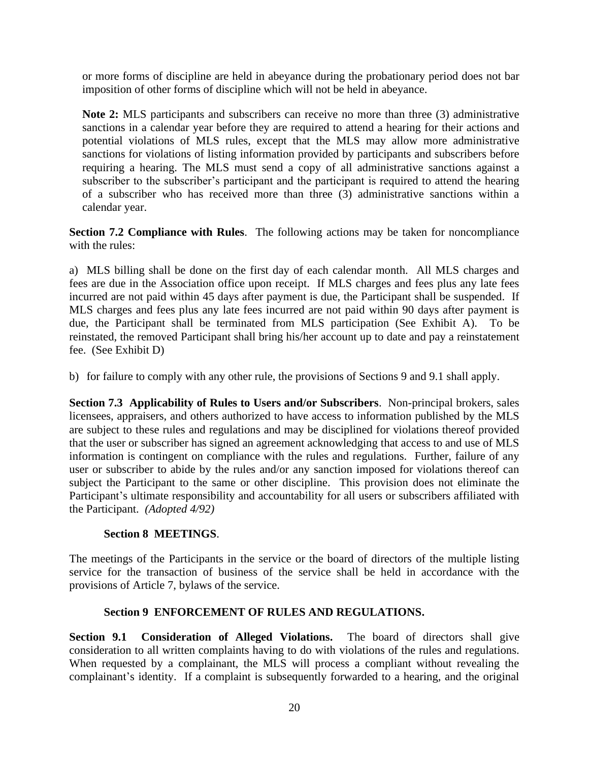or more forms of discipline are held in abeyance during the probationary period does not bar imposition of other forms of discipline which will not be held in abeyance.

**Note 2:** MLS participants and subscribers can receive no more than three (3) administrative sanctions in a calendar year before they are required to attend a hearing for their actions and potential violations of MLS rules, except that the MLS may allow more administrative sanctions for violations of listing information provided by participants and subscribers before requiring a hearing. The MLS must send a copy of all administrative sanctions against a subscriber to the subscriber's participant and the participant is required to attend the hearing of a subscriber who has received more than three (3) administrative sanctions within a calendar year.

**Section 7.2 Compliance with Rules**. The following actions may be taken for noncompliance with the rules:

a) MLS billing shall be done on the first day of each calendar month. All MLS charges and fees are due in the Association office upon receipt. If MLS charges and fees plus any late fees incurred are not paid within 45 days after payment is due, the Participant shall be suspended. If MLS charges and fees plus any late fees incurred are not paid within 90 days after payment is due, the Participant shall be terminated from MLS participation (See Exhibit A). To be reinstated, the removed Participant shall bring his/her account up to date and pay a reinstatement fee. (See Exhibit D)

b) for failure to comply with any other rule, the provisions of Sections 9 and 9.1 shall apply.

**Section 7.3 Applicability of Rules to Users and/or Subscribers**. Non-principal brokers, sales licensees, appraisers, and others authorized to have access to information published by the MLS are subject to these rules and regulations and may be disciplined for violations thereof provided that the user or subscriber has signed an agreement acknowledging that access to and use of MLS information is contingent on compliance with the rules and regulations. Further, failure of any user or subscriber to abide by the rules and/or any sanction imposed for violations thereof can subject the Participant to the same or other discipline. This provision does not eliminate the Participant's ultimate responsibility and accountability for all users or subscribers affiliated with the Participant. *(Adopted 4/92)*

#### **Section 8 MEETINGS**.

The meetings of the Participants in the service or the board of directors of the multiple listing service for the transaction of business of the service shall be held in accordance with the provisions of Article 7, bylaws of the service.

#### **Section 9 ENFORCEMENT OF RULES AND REGULATIONS.**

**Section 9.1 Consideration of Alleged Violations.** The board of directors shall give consideration to all written complaints having to do with violations of the rules and regulations. When requested by a complainant, the MLS will process a compliant without revealing the complainant's identity. If a complaint is subsequently forwarded to a hearing, and the original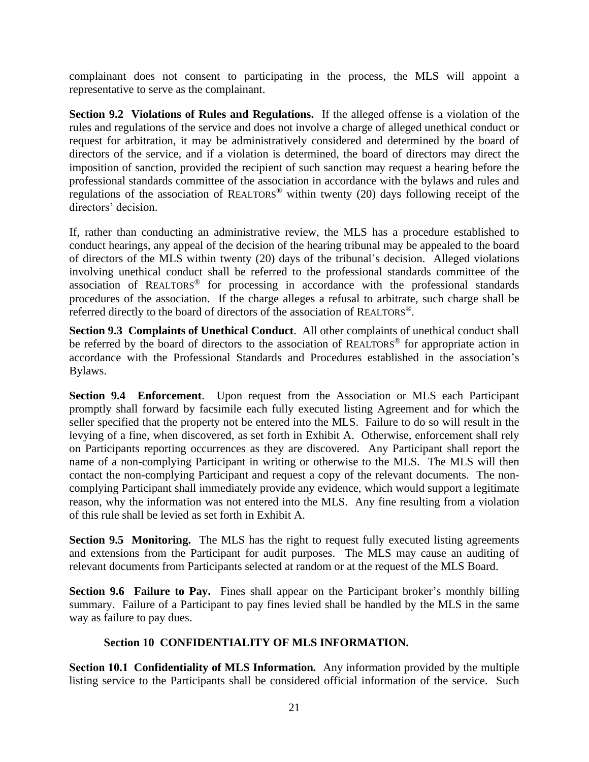complainant does not consent to participating in the process, the MLS will appoint a representative to serve as the complainant.

**Section 9.2 Violations of Rules and Regulations.** If the alleged offense is a violation of the rules and regulations of the service and does not involve a charge of alleged unethical conduct or request for arbitration, it may be administratively considered and determined by the board of directors of the service, and if a violation is determined, the board of directors may direct the imposition of sanction, provided the recipient of such sanction may request a hearing before the professional standards committee of the association in accordance with the bylaws and rules and regulations of the association of REALTORS<sup>®</sup> within twenty (20) days following receipt of the directors' decision.

If, rather than conducting an administrative review, the MLS has a procedure established to conduct hearings, any appeal of the decision of the hearing tribunal may be appealed to the board of directors of the MLS within twenty (20) days of the tribunal's decision. Alleged violations involving unethical conduct shall be referred to the professional standards committee of the association of REALTORS ® for processing in accordance with the professional standards procedures of the association. If the charge alleges a refusal to arbitrate, such charge shall be referred directly to the board of directors of the association of REALTORS®.

**Section 9.3 Complaints of Unethical Conduct**. All other complaints of unethical conduct shall be referred by the board of directors to the association of REALTORS<sup>®</sup> for appropriate action in accordance with the Professional Standards and Procedures established in the association's Bylaws.

**Section 9.4 Enforcement**. Upon request from the Association or MLS each Participant promptly shall forward by facsimile each fully executed listing Agreement and for which the seller specified that the property not be entered into the MLS. Failure to do so will result in the levying of a fine, when discovered, as set forth in Exhibit A. Otherwise, enforcement shall rely on Participants reporting occurrences as they are discovered. Any Participant shall report the name of a non-complying Participant in writing or otherwise to the MLS. The MLS will then contact the non-complying Participant and request a copy of the relevant documents. The noncomplying Participant shall immediately provide any evidence, which would support a legitimate reason, why the information was not entered into the MLS. Any fine resulting from a violation of this rule shall be levied as set forth in Exhibit A.

**Section 9.5 Monitoring.** The MLS has the right to request fully executed listing agreements and extensions from the Participant for audit purposes. The MLS may cause an auditing of relevant documents from Participants selected at random or at the request of the MLS Board.

**Section 9.6 Failure to Pay.** Fines shall appear on the Participant broker's monthly billing summary. Failure of a Participant to pay fines levied shall be handled by the MLS in the same way as failure to pay dues.

#### **Section 10 CONFIDENTIALITY OF MLS INFORMATION.**

**Section 10.1 Confidentiality of MLS Information***.* Any information provided by the multiple listing service to the Participants shall be considered official information of the service. Such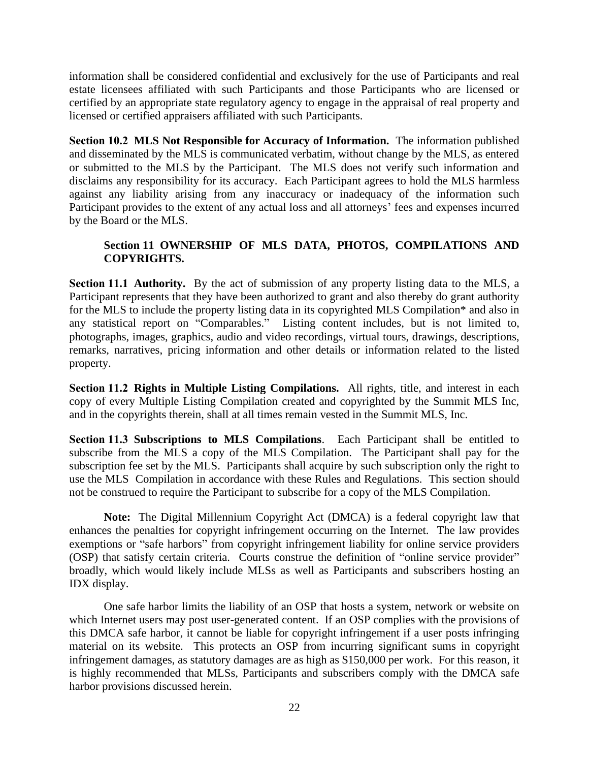information shall be considered confidential and exclusively for the use of Participants and real estate licensees affiliated with such Participants and those Participants who are licensed or certified by an appropriate state regulatory agency to engage in the appraisal of real property and licensed or certified appraisers affiliated with such Participants.

**Section 10.2 MLS Not Responsible for Accuracy of Information.** The information published and disseminated by the MLS is communicated verbatim, without change by the MLS, as entered or submitted to the MLS by the Participant. The MLS does not verify such information and disclaims any responsibility for its accuracy. Each Participant agrees to hold the MLS harmless against any liability arising from any inaccuracy or inadequacy of the information such Participant provides to the extent of any actual loss and all attorneys' fees and expenses incurred by the Board or the MLS.

#### **Section 11 OWNERSHIP OF MLS DATA, PHOTOS, COMPILATIONS AND COPYRIGHTS.**

**Section 11.1 Authority.** By the act of submission of any property listing data to the MLS, a Participant represents that they have been authorized to grant and also thereby do grant authority for the MLS to include the property listing data in its copyrighted MLS Compilation\* and also in any statistical report on "Comparables." Listing content includes, but is not limited to, photographs, images, graphics, audio and video recordings, virtual tours, drawings, descriptions, remarks, narratives, pricing information and other details or information related to the listed property.

**Section 11.2 Rights in Multiple Listing Compilations.** All rights, title, and interest in each copy of every Multiple Listing Compilation created and copyrighted by the Summit MLS Inc, and in the copyrights therein, shall at all times remain vested in the Summit MLS, Inc.

**Section 11.3 Subscriptions to MLS Compilations**. Each Participant shall be entitled to subscribe from the MLS a copy of the MLS Compilation. The Participant shall pay for the subscription fee set by the MLS. Participants shall acquire by such subscription only the right to use the MLS Compilation in accordance with these Rules and Regulations. This section should not be construed to require the Participant to subscribe for a copy of the MLS Compilation.

**Note:** The Digital Millennium Copyright Act (DMCA) is a federal copyright law that enhances the penalties for copyright infringement occurring on the Internet. The law provides exemptions or "safe harbors" from copyright infringement liability for online service providers (OSP) that satisfy certain criteria. Courts construe the definition of "online service provider" broadly, which would likely include MLSs as well as Participants and subscribers hosting an IDX display.

One safe harbor limits the liability of an OSP that hosts a system, network or website on which Internet users may post user-generated content. If an OSP complies with the provisions of this DMCA safe harbor, it cannot be liable for copyright infringement if a user posts infringing material on its website. This protects an OSP from incurring significant sums in copyright infringement damages, as statutory damages are as high as \$150,000 per work. For this reason, it is highly recommended that MLSs, Participants and subscribers comply with the DMCA safe harbor provisions discussed herein.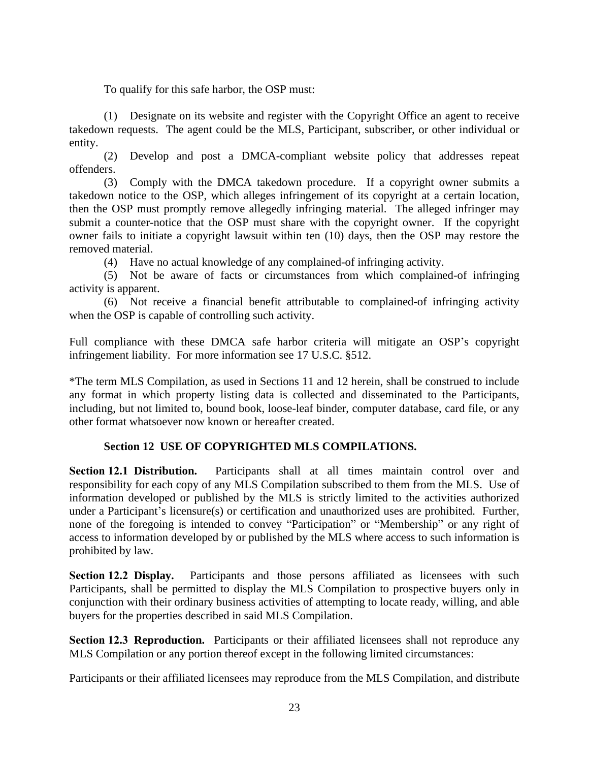To qualify for this safe harbor, the OSP must:

(1) Designate on its website and register with the Copyright Office an agent to receive takedown requests. The agent could be the MLS, Participant, subscriber, or other individual or entity.

(2) Develop and post a DMCA-compliant website policy that addresses repeat offenders.

(3) Comply with the DMCA takedown procedure. If a copyright owner submits a takedown notice to the OSP, which alleges infringement of its copyright at a certain location, then the OSP must promptly remove allegedly infringing material. The alleged infringer may submit a counter-notice that the OSP must share with the copyright owner. If the copyright owner fails to initiate a copyright lawsuit within ten (10) days, then the OSP may restore the removed material.

(4) Have no actual knowledge of any complained-of infringing activity.

(5) Not be aware of facts or circumstances from which complained-of infringing activity is apparent.

(6) Not receive a financial benefit attributable to complained-of infringing activity when the OSP is capable of controlling such activity.

Full compliance with these DMCA safe harbor criteria will mitigate an OSP's copyright infringement liability. For more information see [17 U.S.C. §512.](https://www.law.cornell.edu/uscode/text/17/512)

\*The term MLS Compilation, as used in Sections 11 and 12 herein, shall be construed to include any format in which property listing data is collected and disseminated to the Participants, including, but not limited to, bound book, loose-leaf binder, computer database, card file, or any other format whatsoever now known or hereafter created.

#### **Section 12 USE OF COPYRIGHTED MLS COMPILATIONS.**

**Section 12.1 Distribution.** Participants shall at all times maintain control over and responsibility for each copy of any MLS Compilation subscribed to them from the MLS. Use of information developed or published by the MLS is strictly limited to the activities authorized under a Participant's licensure(s) or certification and unauthorized uses are prohibited. Further, none of the foregoing is intended to convey "Participation" or "Membership" or any right of access to information developed by or published by the MLS where access to such information is prohibited by law.

**Section 12.2 Display.** Participants and those persons affiliated as licensees with such Participants, shall be permitted to display the MLS Compilation to prospective buyers only in conjunction with their ordinary business activities of attempting to locate ready, willing, and able buyers for the properties described in said MLS Compilation.

**Section 12.3 Reproduction.** Participants or their affiliated licensees shall not reproduce any MLS Compilation or any portion thereof except in the following limited circumstances:

Participants or their affiliated licensees may reproduce from the MLS Compilation, and distribute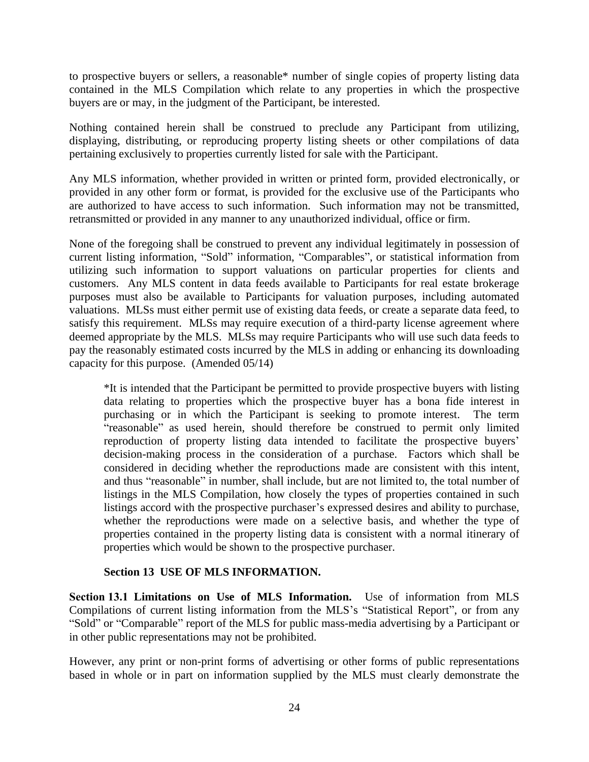to prospective buyers or sellers, a reasonable\* number of single copies of property listing data contained in the MLS Compilation which relate to any properties in which the prospective buyers are or may, in the judgment of the Participant, be interested.

Nothing contained herein shall be construed to preclude any Participant from utilizing, displaying, distributing, or reproducing property listing sheets or other compilations of data pertaining exclusively to properties currently listed for sale with the Participant.

Any MLS information, whether provided in written or printed form, provided electronically, or provided in any other form or format, is provided for the exclusive use of the Participants who are authorized to have access to such information. Such information may not be transmitted, retransmitted or provided in any manner to any unauthorized individual, office or firm.

None of the foregoing shall be construed to prevent any individual legitimately in possession of current listing information, "Sold" information, "Comparables", or statistical information from utilizing such information to support valuations on particular properties for clients and customers. Any MLS content in data feeds available to Participants for real estate brokerage purposes must also be available to Participants for valuation purposes, including automated valuations. MLSs must either permit use of existing data feeds, or create a separate data feed, to satisfy this requirement. MLSs may require execution of a third-party license agreement where deemed appropriate by the MLS. MLSs may require Participants who will use such data feeds to pay the reasonably estimated costs incurred by the MLS in adding or enhancing its downloading capacity for this purpose. (Amended 05/14)

\*It is intended that the Participant be permitted to provide prospective buyers with listing data relating to properties which the prospective buyer has a bona fide interest in purchasing or in which the Participant is seeking to promote interest. The term "reasonable" as used herein, should therefore be construed to permit only limited reproduction of property listing data intended to facilitate the prospective buyers' decision-making process in the consideration of a purchase. Factors which shall be considered in deciding whether the reproductions made are consistent with this intent, and thus "reasonable" in number, shall include, but are not limited to, the total number of listings in the MLS Compilation, how closely the types of properties contained in such listings accord with the prospective purchaser's expressed desires and ability to purchase, whether the reproductions were made on a selective basis, and whether the type of properties contained in the property listing data is consistent with a normal itinerary of properties which would be shown to the prospective purchaser.

#### **Section 13 USE OF MLS INFORMATION.**

**Section 13.1 Limitations on Use of MLS Information.** Use of information from MLS Compilations of current listing information from the MLS's "Statistical Report", or from any "Sold" or "Comparable" report of the MLS for public mass-media advertising by a Participant or in other public representations may not be prohibited.

However, any print or non-print forms of advertising or other forms of public representations based in whole or in part on information supplied by the MLS must clearly demonstrate the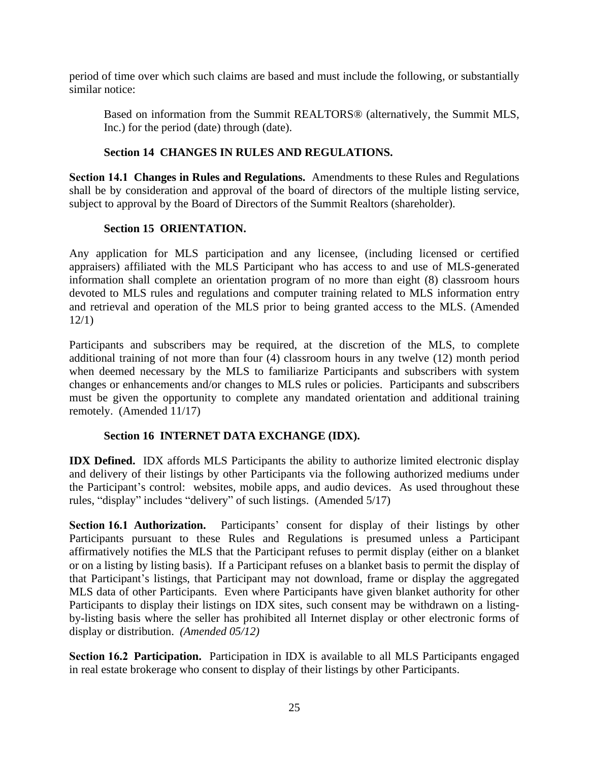period of time over which such claims are based and must include the following, or substantially similar notice:

Based on information from the Summit REALTORS® (alternatively, the Summit MLS, Inc.) for the period (date) through (date).

#### **Section 14 CHANGES IN RULES AND REGULATIONS.**

**Section 14.1 Changes in Rules and Regulations.** Amendments to these Rules and Regulations shall be by consideration and approval of the board of directors of the multiple listing service, subject to approval by the Board of Directors of the Summit Realtors (shareholder).

#### **Section 15 ORIENTATION.**

Any application for MLS participation and any licensee, (including licensed or certified appraisers) affiliated with the MLS Participant who has access to and use of MLS-generated information shall complete an orientation program of no more than eight (8) classroom hours devoted to MLS rules and regulations and computer training related to MLS information entry and retrieval and operation of the MLS prior to being granted access to the MLS. (Amended 12/1)

Participants and subscribers may be required, at the discretion of the MLS, to complete additional training of not more than four (4) classroom hours in any twelve (12) month period when deemed necessary by the MLS to familiarize Participants and subscribers with system changes or enhancements and/or changes to MLS rules or policies. Participants and subscribers must be given the opportunity to complete any mandated orientation and additional training remotely. (Amended 11/17)

#### **Section 16 INTERNET DATA EXCHANGE (IDX).**

**IDX Defined.** IDX affords MLS Participants the ability to authorize limited electronic display and delivery of their listings by other Participants via the following authorized mediums under the Participant's control: websites, mobile apps, and audio devices. As used throughout these rules, "display" includes "delivery" of such listings. (Amended 5/17)

**Section 16.1 Authorization.** Participants' consent for display of their listings by other Participants pursuant to these Rules and Regulations is presumed unless a Participant affirmatively notifies the MLS that the Participant refuses to permit display (either on a blanket or on a listing by listing basis). If a Participant refuses on a blanket basis to permit the display of that Participant's listings, that Participant may not download, frame or display the aggregated MLS data of other Participants. Even where Participants have given blanket authority for other Participants to display their listings on IDX sites, such consent may be withdrawn on a listingby-listing basis where the seller has prohibited all Internet display or other electronic forms of display or distribution. *(Amended 05/12)*

**Section 16.2 Participation.** Participation in IDX is available to all MLS Participants engaged in real estate brokerage who consent to display of their listings by other Participants.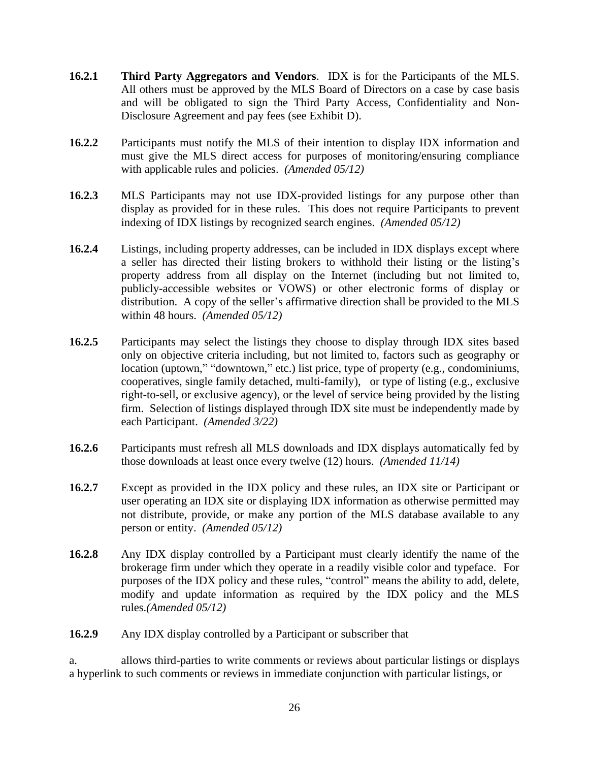- **16.2.1 Third Party Aggregators and Vendors**. IDX is for the Participants of the MLS. All others must be approved by the MLS Board of Directors on a case by case basis and will be obligated to sign the Third Party Access, Confidentiality and Non-Disclosure Agreement and pay fees (see Exhibit D).
- **16.2.2** Participants must notify the MLS of their intention to display IDX information and must give the MLS direct access for purposes of monitoring/ensuring compliance with applicable rules and policies. *(Amended 05/12)*
- **16.2.3** MLS Participants may not use IDX-provided listings for any purpose other than display as provided for in these rules. This does not require Participants to prevent indexing of IDX listings by recognized search engines. *(Amended 05/12)*
- **16.2.4** Listings, including property addresses, can be included in IDX displays except where a seller has directed their listing brokers to withhold their listing or the listing's property address from all display on the Internet (including but not limited to, publicly-accessible websites or VOWS) or other electronic forms of display or distribution. A copy of the seller's affirmative direction shall be provided to the MLS within 48 hours. *(Amended 05/12)*
- **16.2.5** Participants may select the listings they choose to display through IDX sites based only on objective criteria including, but not limited to, factors such as geography or location (uptown," "downtown," etc.) list price, type of property (e.g., condominiums, cooperatives, single family detached, multi-family), or type of listing (e.g., exclusive right-to-sell, or exclusive agency), or the level of service being provided by the listing firm. Selection of listings displayed through IDX site must be independently made by each Participant. *(Amended 3/22)*
- **16.2.6** Participants must refresh all MLS downloads and IDX displays automatically fed by those downloads at least once every twelve (12) hours. *(Amended 11/14)*
- **16.2.7** Except as provided in the IDX policy and these rules, an IDX site or Participant or user operating an IDX site or displaying IDX information as otherwise permitted may not distribute, provide, or make any portion of the MLS database available to any person or entity. *(Amended 05/12)*
- **16.2.8** Any IDX display controlled by a Participant must clearly identify the name of the brokerage firm under which they operate in a readily visible color and typeface. For purposes of the IDX policy and these rules, "control" means the ability to add, delete, modify and update information as required by the IDX policy and the MLS rules.*(Amended 05/12)*
- **16.2.9** Any IDX display controlled by a Participant or subscriber that

a. allows third-parties to write comments or reviews about particular listings or displays a hyperlink to such comments or reviews in immediate conjunction with particular listings, or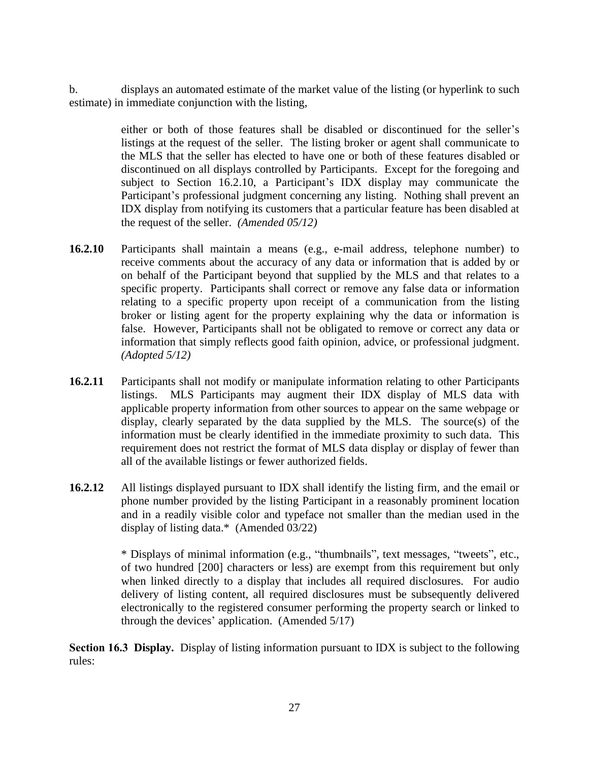b. displays an automated estimate of the market value of the listing (or hyperlink to such estimate) in immediate conjunction with the listing,

> either or both of those features shall be disabled or discontinued for the seller's listings at the request of the seller. The listing broker or agent shall communicate to the MLS that the seller has elected to have one or both of these features disabled or discontinued on all displays controlled by Participants. Except for the foregoing and subject to Section 16.2.10, a Participant's IDX display may communicate the Participant's professional judgment concerning any listing. Nothing shall prevent an IDX display from notifying its customers that a particular feature has been disabled at the request of the seller. *(Amended 05/12)*

- **16.2.10** Participants shall maintain a means (e.g., e-mail address, telephone number) to receive comments about the accuracy of any data or information that is added by or on behalf of the Participant beyond that supplied by the MLS and that relates to a specific property. Participants shall correct or remove any false data or information relating to a specific property upon receipt of a communication from the listing broker or listing agent for the property explaining why the data or information is false. However, Participants shall not be obligated to remove or correct any data or information that simply reflects good faith opinion, advice, or professional judgment. *(Adopted 5/12)*
- **16.2.11** Participants shall not modify or manipulate information relating to other Participants listings. MLS Participants may augment their IDX display of MLS data with applicable property information from other sources to appear on the same webpage or display, clearly separated by the data supplied by the MLS. The source(s) of the information must be clearly identified in the immediate proximity to such data. This requirement does not restrict the format of MLS data display or display of fewer than all of the available listings or fewer authorized fields.
- **16.2.12** All listings displayed pursuant to IDX shall identify the listing firm, and the email or phone number provided by the listing Participant in a reasonably prominent location and in a readily visible color and typeface not smaller than the median used in the display of listing data.\* (Amended 03/22)

\* Displays of minimal information (e.g., "thumbnails", text messages, "tweets", etc., of two hundred [200] characters or less) are exempt from this requirement but only when linked directly to a display that includes all required disclosures. For audio delivery of listing content, all required disclosures must be subsequently delivered electronically to the registered consumer performing the property search or linked to through the devices' application. (Amended 5/17)

**Section 16.3 Display.** Display of listing information pursuant to IDX is subject to the following rules: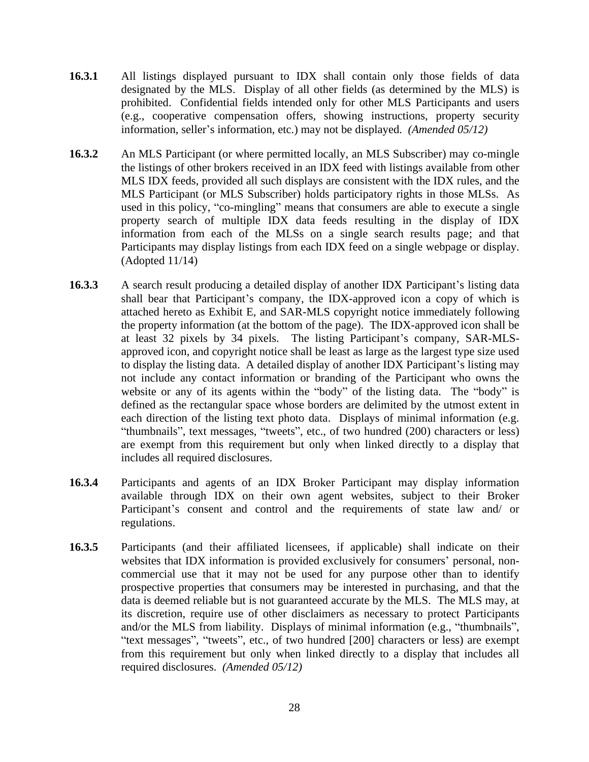- **16.3.1** All listings displayed pursuant to IDX shall contain only those fields of data designated by the MLS. Display of all other fields (as determined by the MLS) is prohibited. Confidential fields intended only for other MLS Participants and users (e.g., cooperative compensation offers, showing instructions, property security information, seller's information, etc.) may not be displayed. *(Amended 05/12)*
- **16.3.2** An MLS Participant (or where permitted locally, an MLS Subscriber) may co-mingle the listings of other brokers received in an IDX feed with listings available from other MLS IDX feeds, provided all such displays are consistent with the IDX rules, and the MLS Participant (or MLS Subscriber) holds participatory rights in those MLSs. As used in this policy, "co-mingling" means that consumers are able to execute a single property search of multiple IDX data feeds resulting in the display of IDX information from each of the MLSs on a single search results page; and that Participants may display listings from each IDX feed on a single webpage or display. (Adopted 11/14)
- 16.3.3 A search result producing a detailed display of another IDX Participant's listing data shall bear that Participant's company, the IDX-approved icon a copy of which is attached hereto as Exhibit E, and SAR-MLS copyright notice immediately following the property information (at the bottom of the page). The IDX-approved icon shall be at least 32 pixels by 34 pixels. The listing Participant's company, SAR-MLSapproved icon, and copyright notice shall be least as large as the largest type size used to display the listing data. A detailed display of another IDX Participant's listing may not include any contact information or branding of the Participant who owns the website or any of its agents within the "body" of the listing data. The "body" is defined as the rectangular space whose borders are delimited by the utmost extent in each direction of the listing text photo data. Displays of minimal information (e.g. "thumbnails", text messages, "tweets", etc., of two hundred (200) characters or less) are exempt from this requirement but only when linked directly to a display that includes all required disclosures.
- **16.3.4** Participants and agents of an IDX Broker Participant may display information available through IDX on their own agent websites, subject to their Broker Participant's consent and control and the requirements of state law and/ or regulations.
- **16.3.5** Participants (and their affiliated licensees, if applicable) shall indicate on their websites that IDX information is provided exclusively for consumers' personal, noncommercial use that it may not be used for any purpose other than to identify prospective properties that consumers may be interested in purchasing, and that the data is deemed reliable but is not guaranteed accurate by the MLS. The MLS may, at its discretion, require use of other disclaimers as necessary to protect Participants and/or the MLS from liability. Displays of minimal information (e.g., "thumbnails", "text messages", "tweets", etc., of two hundred [200] characters or less) are exempt from this requirement but only when linked directly to a display that includes all required disclosures. *(Amended 05/12)*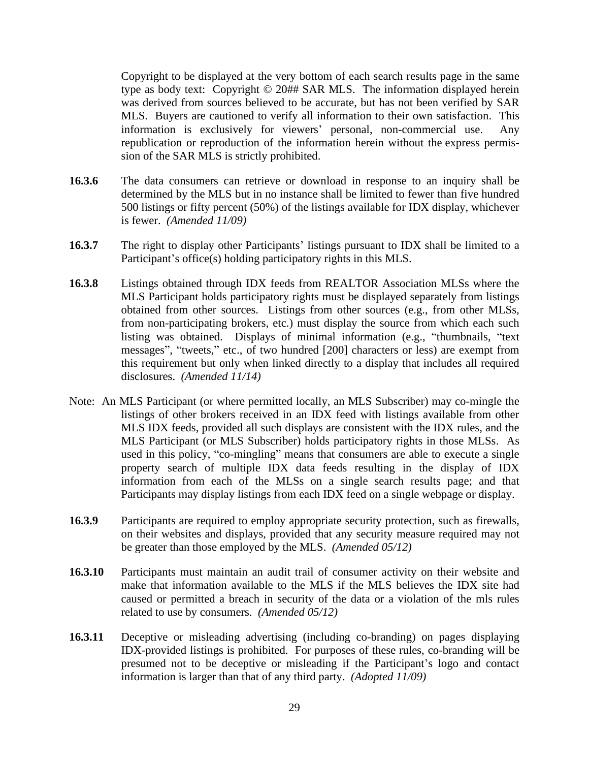Copyright to be displayed at the very bottom of each search results page in the same type as body text: Copyright © 20## SAR MLS. The information displayed herein was derived from sources believed to be accurate, but has not been verified by SAR MLS. Buyers are cautioned to verify all information to their own satisfaction. This information is exclusively for viewers' personal, non-commercial use. Any republication or reproduction of the information herein without the express permission of the SAR MLS is strictly prohibited.

- **16.3.6** The data consumers can retrieve or download in response to an inquiry shall be determined by the MLS but in no instance shall be limited to fewer than five hundred 500 listings or fifty percent (50%) of the listings available for IDX display, whichever is fewer. *(Amended 11/09)*
- **16.3.7** The right to display other Participants' listings pursuant to IDX shall be limited to a Participant's office(s) holding participatory rights in this MLS.
- **16.3.8** Listings obtained through IDX feeds from REALTOR Association MLSs where the MLS Participant holds participatory rights must be displayed separately from listings obtained from other sources. Listings from other sources (e.g., from other MLSs, from non-participating brokers, etc.) must display the source from which each such listing was obtained. Displays of minimal information (e.g., "thumbnails, "text messages", "tweets," etc., of two hundred [200] characters or less) are exempt from this requirement but only when linked directly to a display that includes all required disclosures. *(Amended 11/14)*
- Note: An MLS Participant (or where permitted locally, an MLS Subscriber) may co-mingle the listings of other brokers received in an IDX feed with listings available from other MLS IDX feeds, provided all such displays are consistent with the IDX rules, and the MLS Participant (or MLS Subscriber) holds participatory rights in those MLSs. As used in this policy, "co-mingling" means that consumers are able to execute a single property search of multiple IDX data feeds resulting in the display of IDX information from each of the MLSs on a single search results page; and that Participants may display listings from each IDX feed on a single webpage or display.
- **16.3.9** Participants are required to employ appropriate security protection, such as firewalls, on their websites and displays, provided that any security measure required may not be greater than those employed by the MLS. *(Amended 05/12)*
- **16.3.10** Participants must maintain an audit trail of consumer activity on their website and make that information available to the MLS if the MLS believes the IDX site had caused or permitted a breach in security of the data or a violation of the mls rules related to use by consumers. *(Amended 05/12)*
- **16.3.11** Deceptive or misleading advertising (including co-branding) on pages displaying IDX-provided listings is prohibited. For purposes of these rules, co-branding will be presumed not to be deceptive or misleading if the Participant's logo and contact information is larger than that of any third party. *(Adopted 11/09)*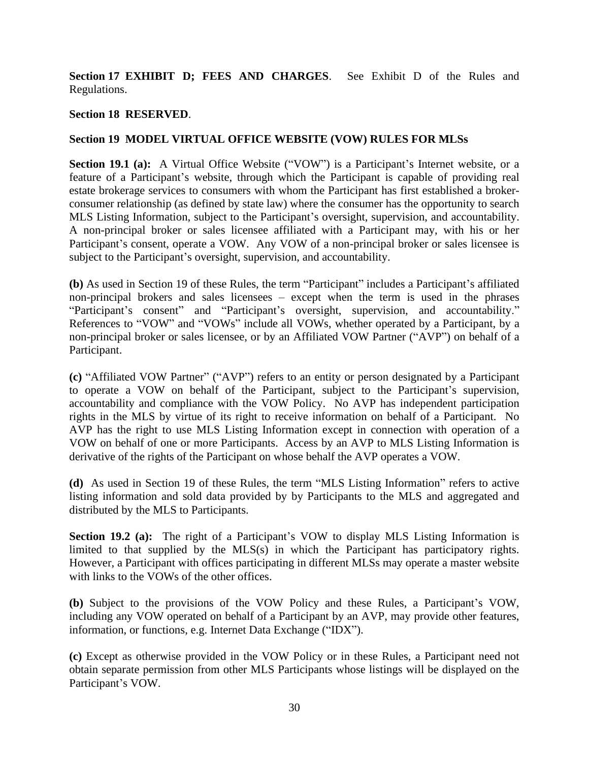**Section 17 EXHIBIT D; FEES AND CHARGES**. See Exhibit D of the Rules and Regulations.

#### **Section 18 RESERVED**.

#### **Section 19 MODEL VIRTUAL OFFICE WEBSITE (VOW) RULES FOR MLSs**

**Section 19.1 (a):** A Virtual Office Website ("VOW") is a Participant's Internet website, or a feature of a Participant's website, through which the Participant is capable of providing real estate brokerage services to consumers with whom the Participant has first established a brokerconsumer relationship (as defined by state law) where the consumer has the opportunity to search MLS Listing Information, subject to the Participant's oversight, supervision, and accountability. A non-principal broker or sales licensee affiliated with a Participant may, with his or her Participant's consent, operate a VOW. Any VOW of a non-principal broker or sales licensee is subject to the Participant's oversight, supervision, and accountability.

**(b)** As used in Section 19 of these Rules, the term "Participant" includes a Participant's affiliated non-principal brokers and sales licensees – except when the term is used in the phrases "Participant's consent" and "Participant's oversight, supervision, and accountability." References to "VOW" and "VOWs" include all VOWs, whether operated by a Participant, by a non-principal broker or sales licensee, or by an Affiliated VOW Partner ("AVP") on behalf of a Participant.

**(c)** "Affiliated VOW Partner" ("AVP") refers to an entity or person designated by a Participant to operate a VOW on behalf of the Participant, subject to the Participant's supervision, accountability and compliance with the VOW Policy. No AVP has independent participation rights in the MLS by virtue of its right to receive information on behalf of a Participant. No AVP has the right to use MLS Listing Information except in connection with operation of a VOW on behalf of one or more Participants. Access by an AVP to MLS Listing Information is derivative of the rights of the Participant on whose behalf the AVP operates a VOW.

**(d)** As used in Section 19 of these Rules, the term "MLS Listing Information" refers to active listing information and sold data provided by by Participants to the MLS and aggregated and distributed by the MLS to Participants.

**Section 19.2 (a):** The right of a Participant's VOW to display MLS Listing Information is limited to that supplied by the MLS(s) in which the Participant has participatory rights. However, a Participant with offices participating in different MLSs may operate a master website with links to the VOWs of the other offices.

**(b)** Subject to the provisions of the VOW Policy and these Rules, a Participant's VOW, including any VOW operated on behalf of a Participant by an AVP, may provide other features, information, or functions, e.g. Internet Data Exchange ("IDX").

**(c)** Except as otherwise provided in the VOW Policy or in these Rules, a Participant need not obtain separate permission from other MLS Participants whose listings will be displayed on the Participant's VOW.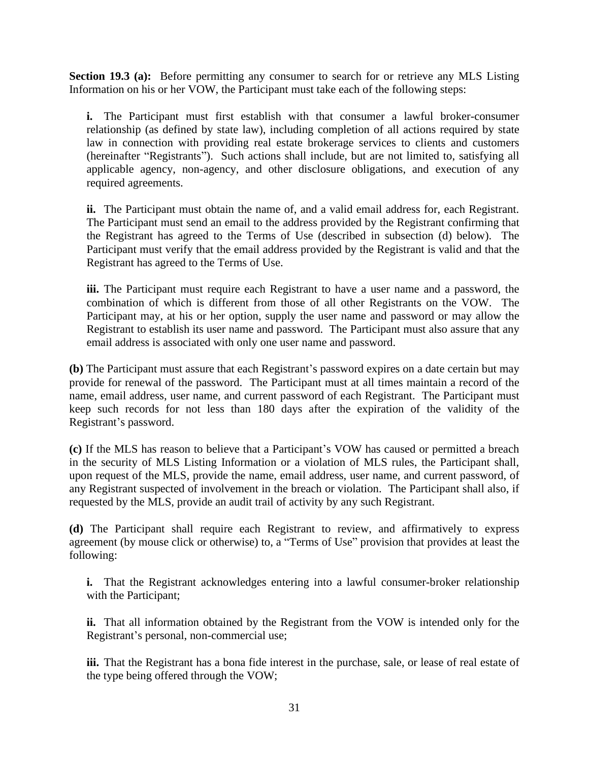**Section 19.3 (a):** Before permitting any consumer to search for or retrieve any MLS Listing Information on his or her VOW, the Participant must take each of the following steps:

**i.** The Participant must first establish with that consumer a lawful broker-consumer relationship (as defined by state law), including completion of all actions required by state law in connection with providing real estate brokerage services to clients and customers (hereinafter "Registrants"). Such actions shall include, but are not limited to, satisfying all applicable agency, non-agency, and other disclosure obligations, and execution of any required agreements.

**ii.** The Participant must obtain the name of, and a valid email address for, each Registrant. The Participant must send an email to the address provided by the Registrant confirming that the Registrant has agreed to the Terms of Use (described in subsection (d) below). The Participant must verify that the email address provided by the Registrant is valid and that the Registrant has agreed to the Terms of Use.

**iii.** The Participant must require each Registrant to have a user name and a password, the combination of which is different from those of all other Registrants on the VOW. The Participant may, at his or her option, supply the user name and password or may allow the Registrant to establish its user name and password. The Participant must also assure that any email address is associated with only one user name and password.

**(b)** The Participant must assure that each Registrant's password expires on a date certain but may provide for renewal of the password. The Participant must at all times maintain a record of the name, email address, user name, and current password of each Registrant. The Participant must keep such records for not less than 180 days after the expiration of the validity of the Registrant's password.

**(c)** If the MLS has reason to believe that a Participant's VOW has caused or permitted a breach in the security of MLS Listing Information or a violation of MLS rules, the Participant shall, upon request of the MLS, provide the name, email address, user name, and current password, of any Registrant suspected of involvement in the breach or violation. The Participant shall also, if requested by the MLS, provide an audit trail of activity by any such Registrant.

**(d)** The Participant shall require each Registrant to review, and affirmatively to express agreement (by mouse click or otherwise) to, a "Terms of Use" provision that provides at least the following:

**i.** That the Registrant acknowledges entering into a lawful consumer-broker relationship with the Participant;

**ii.** That all information obtained by the Registrant from the VOW is intended only for the Registrant's personal, non-commercial use;

**iii.** That the Registrant has a bona fide interest in the purchase, sale, or lease of real estate of the type being offered through the VOW;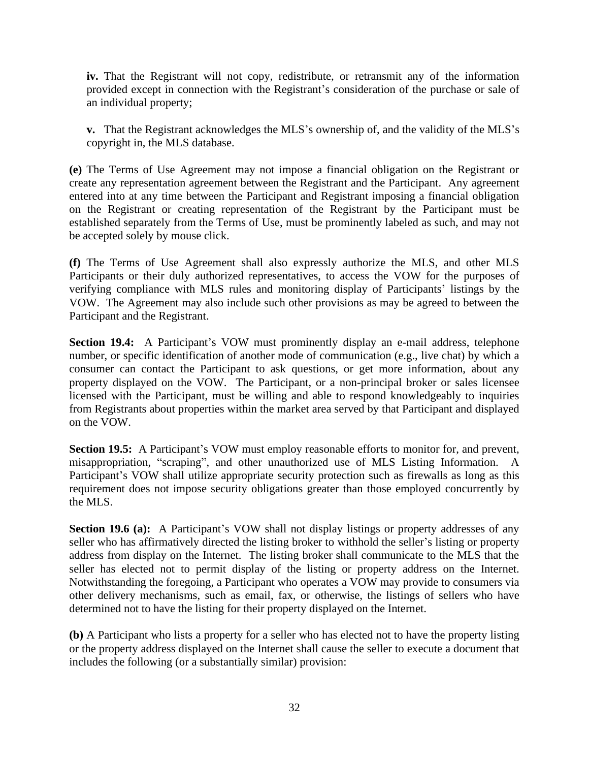**iv.** That the Registrant will not copy, redistribute, or retransmit any of the information provided except in connection with the Registrant's consideration of the purchase or sale of an individual property;

**v.** That the Registrant acknowledges the MLS's ownership of, and the validity of the MLS's copyright in, the MLS database.

**(e)** The Terms of Use Agreement may not impose a financial obligation on the Registrant or create any representation agreement between the Registrant and the Participant. Any agreement entered into at any time between the Participant and Registrant imposing a financial obligation on the Registrant or creating representation of the Registrant by the Participant must be established separately from the Terms of Use, must be prominently labeled as such, and may not be accepted solely by mouse click.

**(f)** The Terms of Use Agreement shall also expressly authorize the MLS, and other MLS Participants or their duly authorized representatives, to access the VOW for the purposes of verifying compliance with MLS rules and monitoring display of Participants' listings by the VOW. The Agreement may also include such other provisions as may be agreed to between the Participant and the Registrant.

**Section 19.4:** A Participant's VOW must prominently display an e-mail address, telephone number, or specific identification of another mode of communication (e.g., live chat) by which a consumer can contact the Participant to ask questions, or get more information, about any property displayed on the VOW. The Participant, or a non-principal broker or sales licensee licensed with the Participant, must be willing and able to respond knowledgeably to inquiries from Registrants about properties within the market area served by that Participant and displayed on the VOW.

**Section 19.5:** A Participant's VOW must employ reasonable efforts to monitor for, and prevent, misappropriation, "scraping", and other unauthorized use of MLS Listing Information. A Participant's VOW shall utilize appropriate security protection such as firewalls as long as this requirement does not impose security obligations greater than those employed concurrently by the MLS.

**Section 19.6 (a):** A Participant's VOW shall not display listings or property addresses of any seller who has affirmatively directed the listing broker to withhold the seller's listing or property address from display on the Internet. The listing broker shall communicate to the MLS that the seller has elected not to permit display of the listing or property address on the Internet. Notwithstanding the foregoing, a Participant who operates a VOW may provide to consumers via other delivery mechanisms, such as email, fax, or otherwise, the listings of sellers who have determined not to have the listing for their property displayed on the Internet.

**(b)** A Participant who lists a property for a seller who has elected not to have the property listing or the property address displayed on the Internet shall cause the seller to execute a document that includes the following (or a substantially similar) provision: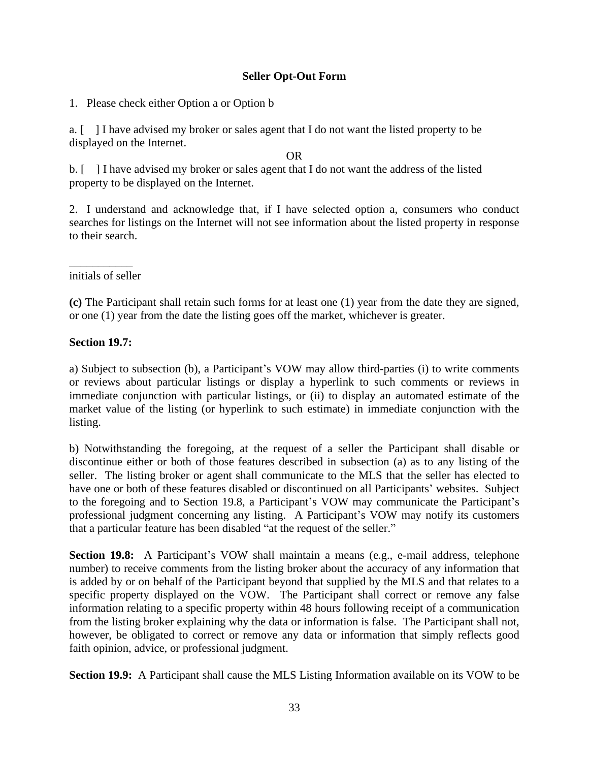#### **Seller Opt-Out Form**

1. Please check either Option a or Option b

a. [ ] I have advised my broker or sales agent that I do not want the listed property to be displayed on the Internet.

#### OR

b. [ ] I have advised my broker or sales agent that I do not want the address of the listed property to be displayed on the Internet.

2. I understand and acknowledge that, if I have selected option a, consumers who conduct searches for listings on the Internet will not see information about the listed property in response to their search.

 $\overline{\phantom{a}}$ initials of seller

**(c)** The Participant shall retain such forms for at least one (1) year from the date they are signed, or one (1) year from the date the listing goes off the market, whichever is greater.

#### **Section 19.7:**

a) Subject to subsection (b), a Participant's VOW may allow third-parties (i) to write comments or reviews about particular listings or display a hyperlink to such comments or reviews in immediate conjunction with particular listings, or (ii) to display an automated estimate of the market value of the listing (or hyperlink to such estimate) in immediate conjunction with the listing.

b) Notwithstanding the foregoing, at the request of a seller the Participant shall disable or discontinue either or both of those features described in subsection (a) as to any listing of the seller. The listing broker or agent shall communicate to the MLS that the seller has elected to have one or both of these features disabled or discontinued on all Participants' websites. Subject to the foregoing and to Section 19.8, a Participant's VOW may communicate the Participant's professional judgment concerning any listing. A Participant's VOW may notify its customers that a particular feature has been disabled "at the request of the seller."

**Section 19.8:** A Participant's VOW shall maintain a means (e.g., e-mail address, telephone number) to receive comments from the listing broker about the accuracy of any information that is added by or on behalf of the Participant beyond that supplied by the MLS and that relates to a specific property displayed on the VOW. The Participant shall correct or remove any false information relating to a specific property within 48 hours following receipt of a communication from the listing broker explaining why the data or information is false. The Participant shall not, however, be obligated to correct or remove any data or information that simply reflects good faith opinion, advice, or professional judgment.

**Section 19.9:** A Participant shall cause the MLS Listing Information available on its VOW to be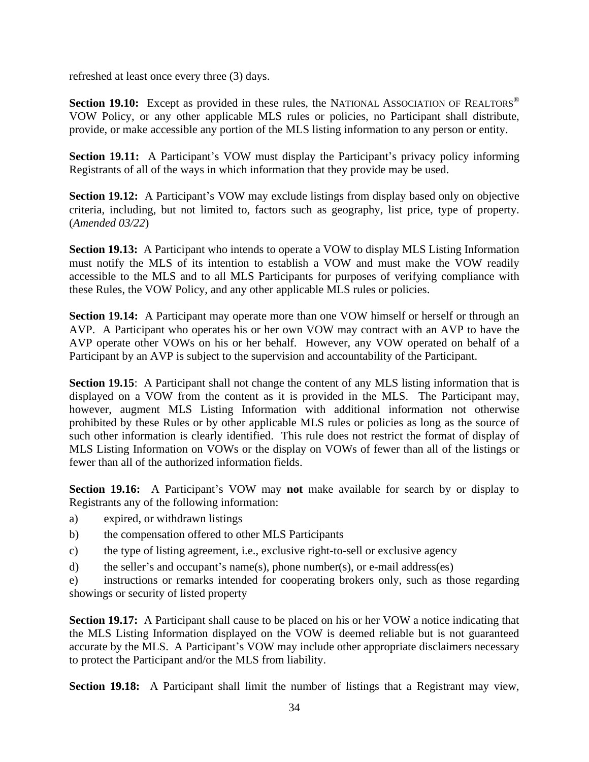refreshed at least once every three (3) days.

**Section 19.10:** Except as provided in these rules, the NATIONAL ASSOCIATION OF REALTORS<sup>®</sup> VOW Policy, or any other applicable MLS rules or policies, no Participant shall distribute, provide, or make accessible any portion of the MLS listing information to any person or entity.

**Section 19.11:** A Participant's VOW must display the Participant's privacy policy informing Registrants of all of the ways in which information that they provide may be used.

**Section 19.12:** A Participant's VOW may exclude listings from display based only on objective criteria, including, but not limited to, factors such as geography, list price, type of property. (*Amended 03/22*)

**Section 19.13:** A Participant who intends to operate a VOW to display MLS Listing Information must notify the MLS of its intention to establish a VOW and must make the VOW readily accessible to the MLS and to all MLS Participants for purposes of verifying compliance with these Rules, the VOW Policy, and any other applicable MLS rules or policies.

**Section 19.14:** A Participant may operate more than one VOW himself or herself or through an AVP. A Participant who operates his or her own VOW may contract with an AVP to have the AVP operate other VOWs on his or her behalf. However, any VOW operated on behalf of a Participant by an AVP is subject to the supervision and accountability of the Participant.

**Section 19.15:** A Participant shall not change the content of any MLS listing information that is displayed on a VOW from the content as it is provided in the MLS. The Participant may, however, augment MLS Listing Information with additional information not otherwise prohibited by these Rules or by other applicable MLS rules or policies as long as the source of such other information is clearly identified. This rule does not restrict the format of display of MLS Listing Information on VOWs or the display on VOWs of fewer than all of the listings or fewer than all of the authorized information fields.

**Section 19.16:** A Participant's VOW may **not** make available for search by or display to Registrants any of the following information:

- a) expired, or withdrawn listings
- b) the compensation offered to other MLS Participants
- c) the type of listing agreement, i.e., exclusive right-to-sell or exclusive agency
- d) the seller's and occupant's name(s), phone number(s), or e-mail address(es)

e) instructions or remarks intended for cooperating brokers only, such as those regarding showings or security of listed property

**Section 19.17:** A Participant shall cause to be placed on his or her VOW a notice indicating that the MLS Listing Information displayed on the VOW is deemed reliable but is not guaranteed accurate by the MLS. A Participant's VOW may include other appropriate disclaimers necessary to protect the Participant and/or the MLS from liability.

**Section 19.18:** A Participant shall limit the number of listings that a Registrant may view,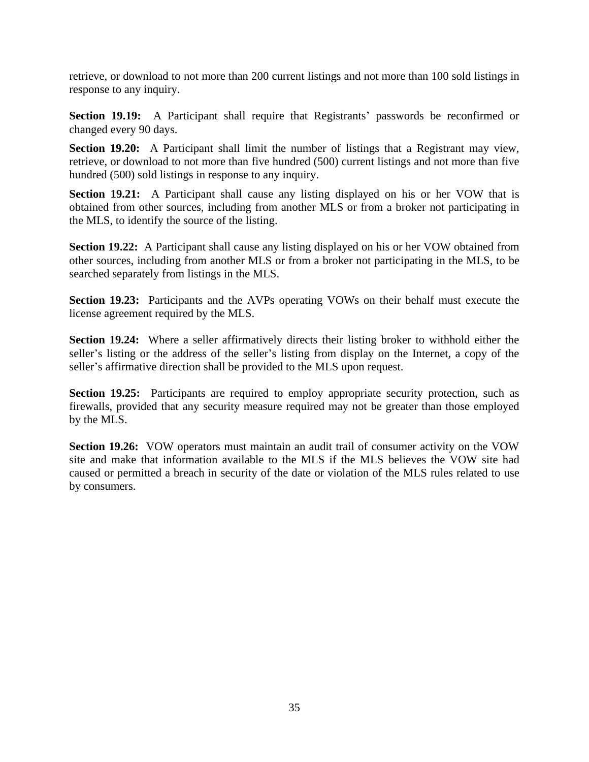retrieve, or download to not more than 200 current listings and not more than 100 sold listings in response to any inquiry.

**Section 19.19:** A Participant shall require that Registrants' passwords be reconfirmed or changed every 90 days.

**Section 19.20:** A Participant shall limit the number of listings that a Registrant may view, retrieve, or download to not more than five hundred (500) current listings and not more than five hundred (500) sold listings in response to any inquiry.

**Section 19.21:** A Participant shall cause any listing displayed on his or her VOW that is obtained from other sources, including from another MLS or from a broker not participating in the MLS, to identify the source of the listing.

**Section 19.22:** A Participant shall cause any listing displayed on his or her VOW obtained from other sources, including from another MLS or from a broker not participating in the MLS, to be searched separately from listings in the MLS.

**Section 19.23:** Participants and the AVPs operating VOWs on their behalf must execute the license agreement required by the MLS.

**Section 19.24:** Where a seller affirmatively directs their listing broker to withhold either the seller's listing or the address of the seller's listing from display on the Internet, a copy of the seller's affirmative direction shall be provided to the MLS upon request.

**Section 19.25:** Participants are required to employ appropriate security protection, such as firewalls, provided that any security measure required may not be greater than those employed by the MLS.

**Section 19.26:** VOW operators must maintain an audit trail of consumer activity on the VOW site and make that information available to the MLS if the MLS believes the VOW site had caused or permitted a breach in security of the date or violation of the MLS rules related to use by consumers.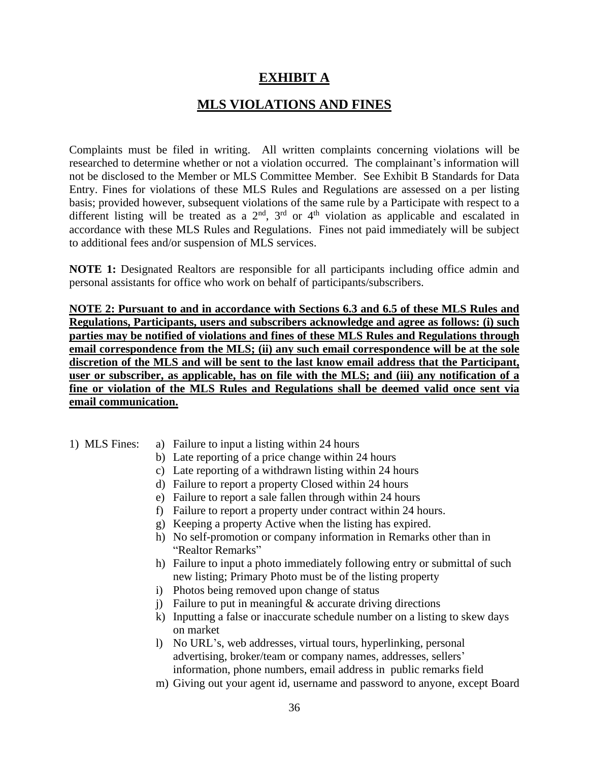#### **EXHIBIT A**

#### **MLS VIOLATIONS AND FINES**

Complaints must be filed in writing. All written complaints concerning violations will be researched to determine whether or not a violation occurred. The complainant's information will not be disclosed to the Member or MLS Committee Member. See Exhibit B Standards for Data Entry. Fines for violations of these MLS Rules and Regulations are assessed on a per listing basis; provided however, subsequent violations of the same rule by a Participate with respect to a different listing will be treated as a  $2<sup>nd</sup>$ ,  $3<sup>rd</sup>$  or  $4<sup>th</sup>$  violation as applicable and escalated in accordance with these MLS Rules and Regulations. Fines not paid immediately will be subject to additional fees and/or suspension of MLS services.

**NOTE 1:** Designated Realtors are responsible for all participants including office admin and personal assistants for office who work on behalf of participants/subscribers.

**NOTE 2: Pursuant to and in accordance with Sections 6.3 and 6.5 of these MLS Rules and Regulations, Participants, users and subscribers acknowledge and agree as follows: (i) such parties may be notified of violations and fines of these MLS Rules and Regulations through email correspondence from the MLS; (ii) any such email correspondence will be at the sole discretion of the MLS and will be sent to the last know email address that the Participant, user or subscriber, as applicable, has on file with the MLS; and (iii) any notification of a fine or violation of the MLS Rules and Regulations shall be deemed valid once sent via email communication.**

#### 1) MLS Fines: a) Failure to input a listing within 24 hours

- b) Late reporting of a price change within 24 hours
- c) Late reporting of a withdrawn listing within 24 hours
- d) Failure to report a property Closed within 24 hours
- e) Failure to report a sale fallen through within 24 hours
- f) Failure to report a property under contract within 24 hours.
- g) Keeping a property Active when the listing has expired.
- h) No self-promotion or company information in Remarks other than in "Realtor Remarks"
- h) Failure to input a photo immediately following entry or submittal of such new listing; Primary Photo must be of the listing property
- i) Photos being removed upon change of status
- j) Failure to put in meaningful  $&$  accurate driving directions
- k) Inputting a false or inaccurate schedule number on a listing to skew days on market
- l) No URL's, web addresses, virtual tours, hyperlinking, personal advertising, broker/team or company names, addresses, sellers' information, phone numbers, email address in public remarks field
- m) Giving out your agent id, username and password to anyone, except Board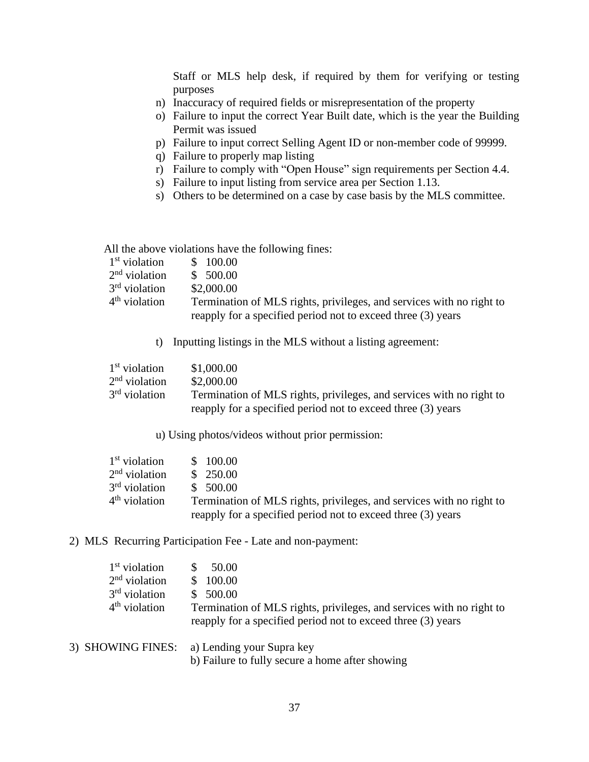Staff or MLS help desk, if required by them for verifying or testing purposes

- n) Inaccuracy of required fields or misrepresentation of the property
- o) Failure to input the correct Year Built date, which is the year the Building Permit was issued
- p) Failure to input correct Selling Agent ID or non-member code of 99999.
- q) Failure to properly map listing
- r) Failure to comply with "Open House" sign requirements per Section 4.4.
- s) Failure to input listing from service area per Section 1.13.
- s) Others to be determined on a case by case basis by the MLS committee.

All the above violations have the following fines:

| $1st$ violation                                                                         | \$ 100.00                                                    |
|-----------------------------------------------------------------------------------------|--------------------------------------------------------------|
| $2nd$ violation                                                                         | \$500.00                                                     |
| $3rd$ violation                                                                         | \$2,000.00                                                   |
| $4th$ violation<br>Termination of MLS rights, privileges, and services with no right to |                                                              |
|                                                                                         | reapply for a specified period not to exceed three (3) years |

t) Inputting listings in the MLS without a listing agreement:

| $1st$ violation | \$1,000.00                                                           |
|-----------------|----------------------------------------------------------------------|
| $2nd$ violation | \$2,000.00                                                           |
| $3rd$ violation | Termination of MLS rights, privileges, and services with no right to |
|                 | reapply for a specified period not to exceed three (3) years         |

u) Using photos/videos without prior permission:

| $1st$ violation | \$100.00                                                             |
|-----------------|----------------------------------------------------------------------|
| $2nd$ violation | \$250.00                                                             |
| $3rd$ violation | \$500.00                                                             |
| $4th$ violation | Termination of MLS rights, privileges, and services with no right to |
|                 | reapply for a specified period not to exceed three (3) years         |

2) MLS Recurring Participation Fee - Late and non-payment:

| 1 <sup>st</sup> violation<br>$2nd$ violation<br>$3rd$ violation<br>$4th$ violation | 50.00<br>\$100.00<br>\$500.00<br>Termination of MLS rights, privileges, and services with no right to<br>reapply for a specified period not to exceed three (3) years |
|------------------------------------------------------------------------------------|-----------------------------------------------------------------------------------------------------------------------------------------------------------------------|
|                                                                                    | 3) SHOWING FINES: a) Lending your Supra key                                                                                                                           |

b) Failure to fully secure a home after showing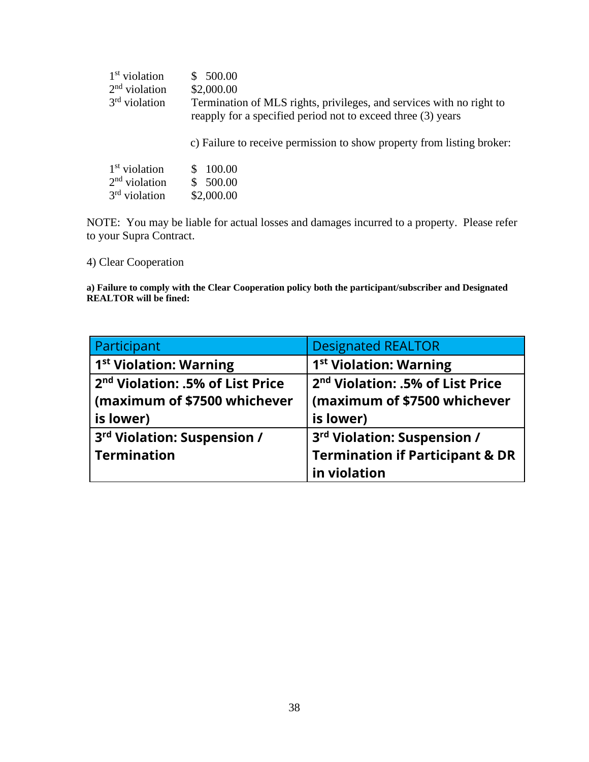| $1st$ violation | 500.00                                                                                                                                                                                                         |  |
|-----------------|----------------------------------------------------------------------------------------------------------------------------------------------------------------------------------------------------------------|--|
| $2nd$ violation | \$2,000.00                                                                                                                                                                                                     |  |
| $3rd$ violation | Termination of MLS rights, privileges, and services with no right to<br>reapply for a specified period not to exceed three (3) years<br>c) Failure to receive permission to show property from listing broker: |  |
| $1st$ violation | 100.00                                                                                                                                                                                                         |  |
| $2nd$ violation | 500.00                                                                                                                                                                                                         |  |
| $3rd$ violation | \$2,000.00                                                                                                                                                                                                     |  |

NOTE: You may be liable for actual losses and damages incurred to a property. Please refer to your Supra Contract.

4) Clear Cooperation

**a) Failure to comply with the Clear Cooperation policy both the participant/subscriber and Designated REALTOR will be fined:**

| Participant                                  | <b>Designated REALTOR</b>                    |  |
|----------------------------------------------|----------------------------------------------|--|
| 1 <sup>st</sup> Violation: Warning           | 1 <sup>st</sup> Violation: Warning           |  |
| 2 <sup>nd</sup> Violation: .5% of List Price | 2 <sup>nd</sup> Violation: .5% of List Price |  |
| (maximum of \$7500 whichever                 | (maximum of \$7500 whichever                 |  |
| is lower)                                    | is lower)                                    |  |
| 3rd Violation: Suspension /                  | 3rd Violation: Suspension /                  |  |
| <b>Termination</b>                           | <b>Termination if Participant &amp; DR</b>   |  |
|                                              | in violation                                 |  |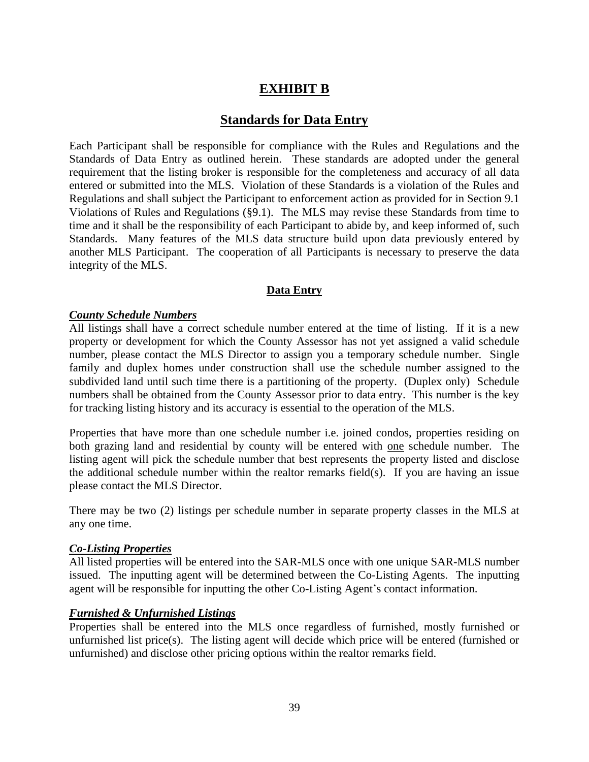#### **EXHIBIT B**

#### **Standards for Data Entry**

Each Participant shall be responsible for compliance with the Rules and Regulations and the Standards of Data Entry as outlined herein. These standards are adopted under the general requirement that the listing broker is responsible for the completeness and accuracy of all data entered or submitted into the MLS. Violation of these Standards is a violation of the Rules and Regulations and shall subject the Participant to enforcement action as provided for in Section 9.1 Violations of Rules and Regulations (§9.1). The MLS may revise these Standards from time to time and it shall be the responsibility of each Participant to abide by, and keep informed of, such Standards. Many features of the MLS data structure build upon data previously entered by another MLS Participant. The cooperation of all Participants is necessary to preserve the data integrity of the MLS.

#### **Data Entry**

#### *County Schedule Numbers*

All listings shall have a correct schedule number entered at the time of listing. If it is a new property or development for which the County Assessor has not yet assigned a valid schedule number, please contact the MLS Director to assign you a temporary schedule number. Single family and duplex homes under construction shall use the schedule number assigned to the subdivided land until such time there is a partitioning of the property. (Duplex only) Schedule numbers shall be obtained from the County Assessor prior to data entry. This number is the key for tracking listing history and its accuracy is essential to the operation of the MLS.

Properties that have more than one schedule number i.e. joined condos, properties residing on both grazing land and residential by county will be entered with one schedule number. The listing agent will pick the schedule number that best represents the property listed and disclose the additional schedule number within the realtor remarks field(s). If you are having an issue please contact the MLS Director.

There may be two (2) listings per schedule number in separate property classes in the MLS at any one time.

#### *Co-Listing Properties*

All listed properties will be entered into the SAR-MLS once with one unique SAR-MLS number issued. The inputting agent will be determined between the Co-Listing Agents. The inputting agent will be responsible for inputting the other Co-Listing Agent's contact information.

#### *Furnished & Unfurnished Listings*

Properties shall be entered into the MLS once regardless of furnished, mostly furnished or unfurnished list price(s). The listing agent will decide which price will be entered (furnished or unfurnished) and disclose other pricing options within the realtor remarks field.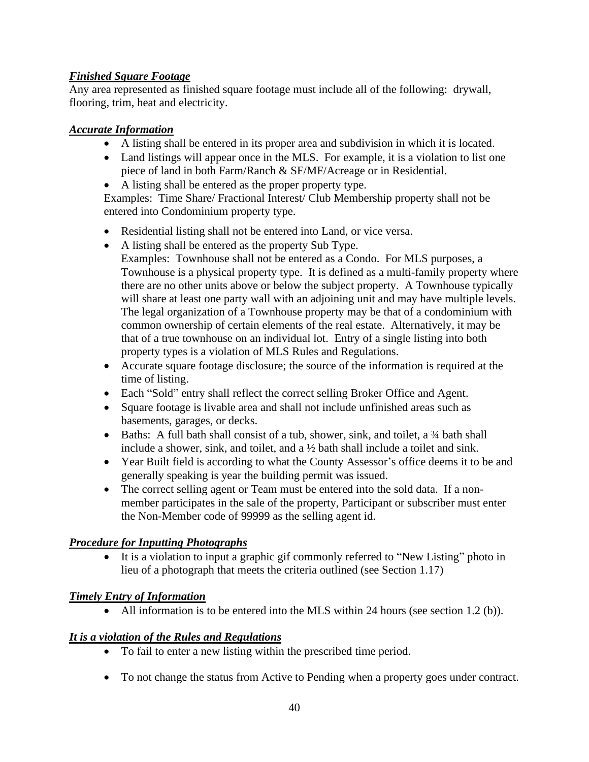#### *Finished Square Footage*

Any area represented as finished square footage must include all of the following: drywall, flooring, trim, heat and electricity.

#### *Accurate Information*

- A listing shall be entered in its proper area and subdivision in which it is located.
- Land listings will appear once in the MLS. For example, it is a violation to list one piece of land in both Farm/Ranch & SF/MF/Acreage or in Residential.
- A listing shall be entered as the proper property type.

Examples: Time Share/ Fractional Interest/ Club Membership property shall not be entered into Condominium property type.

- Residential listing shall not be entered into Land, or vice versa.
- A listing shall be entered as the property Sub Type. Examples: Townhouse shall not be entered as a Condo. For MLS purposes, a Townhouse is a physical property type. It is defined as a multi-family property where there are no other units above or below the subject property. A Townhouse typically will share at least one party wall with an adjoining unit and may have multiple levels. The legal organization of a Townhouse property may be that of a condominium with common ownership of certain elements of the real estate. Alternatively, it may be that of a true townhouse on an individual lot. Entry of a single listing into both property types is a violation of MLS Rules and Regulations.
- Accurate square footage disclosure; the source of the information is required at the time of listing.
- Each "Sold" entry shall reflect the correct selling Broker Office and Agent.
- Square footage is livable area and shall not include unfinished areas such as basements, garages, or decks.
- Baths: A full bath shall consist of a tub, shower, sink, and toilet, a 34 bath shall include a shower, sink, and toilet, and a ½ bath shall include a toilet and sink.
- Year Built field is according to what the County Assessor's office deems it to be and generally speaking is year the building permit was issued.
- The correct selling agent or Team must be entered into the sold data. If a nonmember participates in the sale of the property, Participant or subscriber must enter the Non-Member code of 99999 as the selling agent id.

#### *Procedure for Inputting Photographs*

It is a violation to input a graphic gif commonly referred to "New Listing" photo in lieu of a photograph that meets the criteria outlined (see Section 1.17)

#### *Timely Entry of Information*

• All information is to be entered into the MLS within 24 hours (see section 1.2 (b)).

#### *It is a violation of the Rules and Regulations*

- To fail to enter a new listing within the prescribed time period.
- To not change the status from Active to Pending when a property goes under contract.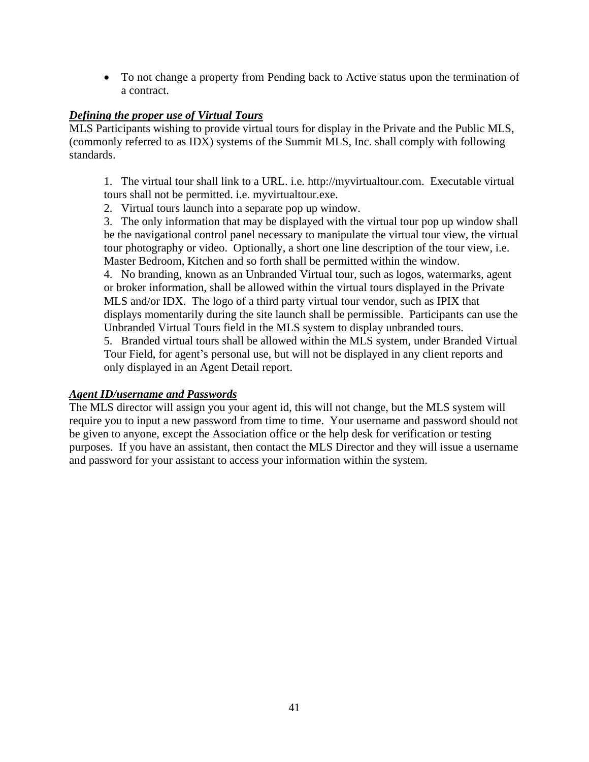• To not change a property from Pending back to Active status upon the termination of a contract.

#### *Defining the proper use of Virtual Tours*

MLS Participants wishing to provide virtual tours for display in the Private and the Public MLS, (commonly referred to as IDX) systems of the Summit MLS, Inc. shall comply with following standards.

1. The virtual tour shall link to a URL. i.e. [http://myvirtualtour.com.](http://myvirtualtour.com/) Executable virtual tours shall not be permitted. i.e. myvirtualtour.exe.

2. Virtual tours launch into a separate pop up window.

3. The only information that may be displayed with the virtual tour pop up window shall be the navigational control panel necessary to manipulate the virtual tour view, the virtual tour photography or video. Optionally, a short one line description of the tour view, i.e. Master Bedroom, Kitchen and so forth shall be permitted within the window.

4. No branding, known as an Unbranded Virtual tour, such as logos, watermarks, agent or broker information, shall be allowed within the virtual tours displayed in the Private MLS and/or IDX. The logo of a third party virtual tour vendor, such as IPIX that displays momentarily during the site launch shall be permissible. Participants can use the Unbranded Virtual Tours field in the MLS system to display unbranded tours.

5. Branded virtual tours shall be allowed within the MLS system, under Branded Virtual Tour Field, for agent's personal use, but will not be displayed in any client reports and only displayed in an Agent Detail report.

#### *Agent ID/username and Passwords*

The MLS director will assign you your agent id, this will not change, but the MLS system will require you to input a new password from time to time. Your username and password should not be given to anyone, except the Association office or the help desk for verification or testing purposes. If you have an assistant, then contact the MLS Director and they will issue a username and password for your assistant to access your information within the system.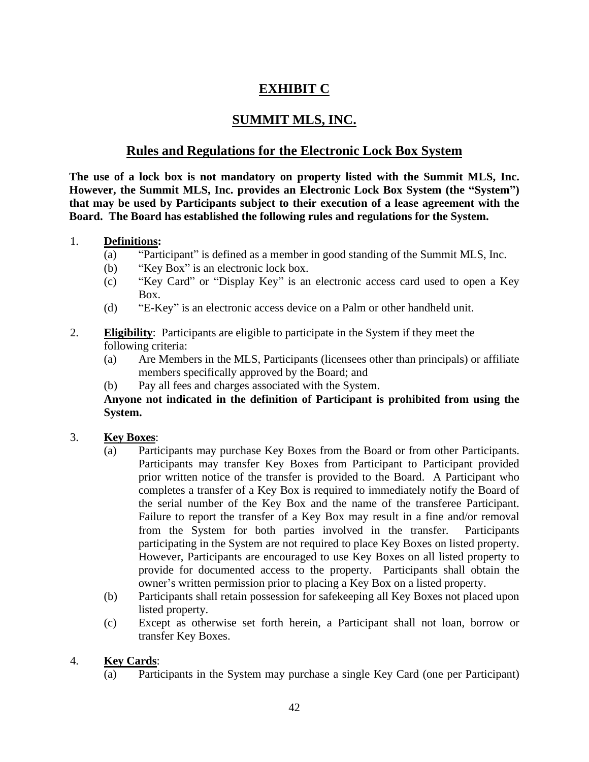#### **EXHIBIT C**

#### **SUMMIT MLS, INC.**

#### **Rules and Regulations for the Electronic Lock Box System**

**The use of a lock box is not mandatory on property listed with the Summit MLS, Inc. However, the Summit MLS, Inc. provides an Electronic Lock Box System (the "System") that may be used by Participants subject to their execution of a lease agreement with the Board. The Board has established the following rules and regulations for the System.**

#### 1. **Definitions:**

- (a) "Participant" is defined as a member in good standing of the Summit MLS, Inc.
- (b) "Key Box" is an electronic lock box.
- (c) "Key Card" or "Display Key" is an electronic access card used to open a Key Box.
- (d) "E-Key" is an electronic access device on a Palm or other handheld unit.

#### 2. **Eligibility**: Participants are eligible to participate in the System if they meet the following criteria:

- (a) Are Members in the MLS, Participants (licensees other than principals) or affiliate members specifically approved by the Board; and
- (b) Pay all fees and charges associated with the System.

#### **Anyone not indicated in the definition of Participant is prohibited from using the System.**

#### 3. **Key Boxes**:

- (a) Participants may purchase Key Boxes from the Board or from other Participants. Participants may transfer Key Boxes from Participant to Participant provided prior written notice of the transfer is provided to the Board. A Participant who completes a transfer of a Key Box is required to immediately notify the Board of the serial number of the Key Box and the name of the transferee Participant. Failure to report the transfer of a Key Box may result in a fine and/or removal from the System for both parties involved in the transfer. Participants participating in the System are not required to place Key Boxes on listed property. However, Participants are encouraged to use Key Boxes on all listed property to provide for documented access to the property. Participants shall obtain the owner's written permission prior to placing a Key Box on a listed property.
- (b) Participants shall retain possession for safekeeping all Key Boxes not placed upon listed property.
- (c) Except as otherwise set forth herein, a Participant shall not loan, borrow or transfer Key Boxes.

#### 4. **Key Cards**:

(a) Participants in the System may purchase a single Key Card (one per Participant)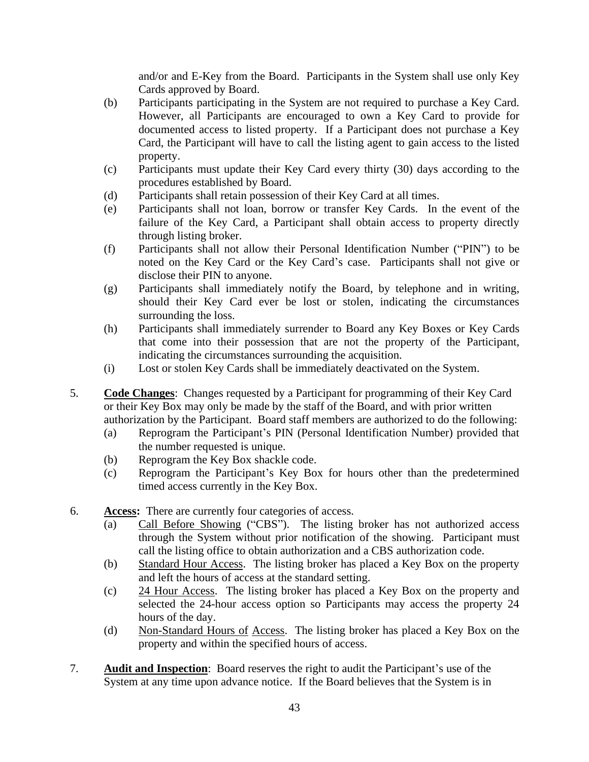and/or and E-Key from the Board. Participants in the System shall use only Key Cards approved by Board.

- (b) Participants participating in the System are not required to purchase a Key Card. However, all Participants are encouraged to own a Key Card to provide for documented access to listed property. If a Participant does not purchase a Key Card, the Participant will have to call the listing agent to gain access to the listed property.
- (c) Participants must update their Key Card every thirty (30) days according to the procedures established by Board.
- (d) Participants shall retain possession of their Key Card at all times.
- (e) Participants shall not loan, borrow or transfer Key Cards. In the event of the failure of the Key Card, a Participant shall obtain access to property directly through listing broker.
- (f) Participants shall not allow their Personal Identification Number ("PIN") to be noted on the Key Card or the Key Card's case. Participants shall not give or disclose their PIN to anyone.
- (g) Participants shall immediately notify the Board, by telephone and in writing, should their Key Card ever be lost or stolen, indicating the circumstances surrounding the loss.
- (h) Participants shall immediately surrender to Board any Key Boxes or Key Cards that come into their possession that are not the property of the Participant, indicating the circumstances surrounding the acquisition.
- (i) Lost or stolen Key Cards shall be immediately deactivated on the System.
- 5. **Code Changes**: Changes requested by a Participant for programming of their Key Card or their Key Box may only be made by the staff of the Board, and with prior written authorization by the Participant. Board staff members are authorized to do the following:
	- (a) Reprogram the Participant's PIN (Personal Identification Number) provided that the number requested is unique.
	- (b) Reprogram the Key Box shackle code.
	- (c) Reprogram the Participant's Key Box for hours other than the predetermined timed access currently in the Key Box.
- 6. **Access:** There are currently four categories of access.
	- (a) Call Before Showing ("CBS"). The listing broker has not authorized access through the System without prior notification of the showing. Participant must call the listing office to obtain authorization and a CBS authorization code.
	- (b) Standard Hour Access. The listing broker has placed a Key Box on the property and left the hours of access at the standard setting.
	- (c) 24 Hour Access. The listing broker has placed a Key Box on the property and selected the 24-hour access option so Participants may access the property 24 hours of the day.
	- (d) Non-Standard Hours of Access. The listing broker has placed a Key Box on the property and within the specified hours of access.
- 7. **Audit and Inspection**: Board reserves the right to audit the Participant's use of the System at any time upon advance notice. If the Board believes that the System is in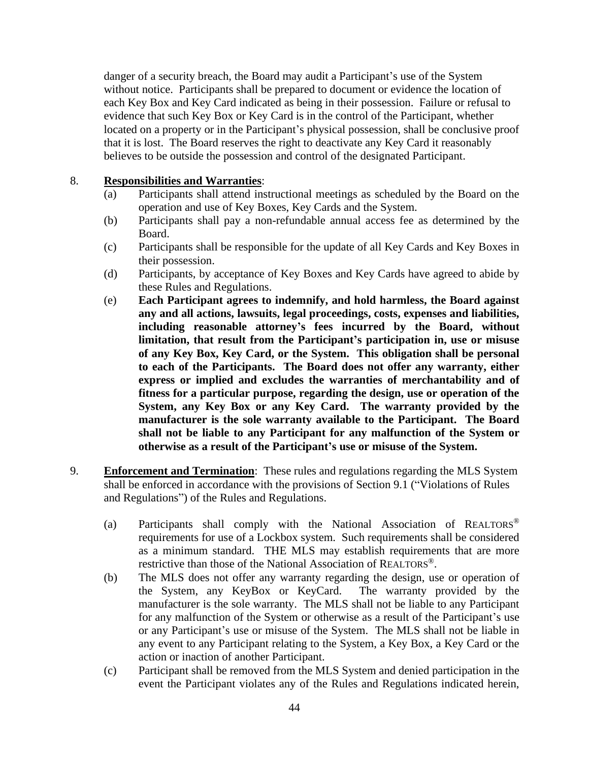danger of a security breach, the Board may audit a Participant's use of the System without notice. Participants shall be prepared to document or evidence the location of each Key Box and Key Card indicated as being in their possession. Failure or refusal to evidence that such Key Box or Key Card is in the control of the Participant, whether located on a property or in the Participant's physical possession, shall be conclusive proof that it is lost. The Board reserves the right to deactivate any Key Card it reasonably believes to be outside the possession and control of the designated Participant.

#### 8. **Responsibilities and Warranties**:

- (a) Participants shall attend instructional meetings as scheduled by the Board on the operation and use of Key Boxes, Key Cards and the System.
- (b) Participants shall pay a non-refundable annual access fee as determined by the Board.
- (c) Participants shall be responsible for the update of all Key Cards and Key Boxes in their possession.
- (d) Participants, by acceptance of Key Boxes and Key Cards have agreed to abide by these Rules and Regulations.
- (e) **Each Participant agrees to indemnify, and hold harmless, the Board against any and all actions, lawsuits, legal proceedings, costs, expenses and liabilities, including reasonable attorney's fees incurred by the Board, without limitation, that result from the Participant's participation in, use or misuse of any Key Box, Key Card, or the System. This obligation shall be personal to each of the Participants. The Board does not offer any warranty, either express or implied and excludes the warranties of merchantability and of fitness for a particular purpose, regarding the design, use or operation of the System, any Key Box or any Key Card. The warranty provided by the manufacturer is the sole warranty available to the Participant. The Board shall not be liable to any Participant for any malfunction of the System or otherwise as a result of the Participant's use or misuse of the System.**
- 9. **Enforcement and Termination**: These rules and regulations regarding the MLS System shall be enforced in accordance with the provisions of Section 9.1 ("Violations of Rules and Regulations") of the Rules and Regulations.
	- (a) Participants shall comply with the National Association of REALTORS® requirements for use of a Lockbox system. Such requirements shall be considered as a minimum standard. THE MLS may establish requirements that are more restrictive than those of the National Association of REALTORS®.
	- (b) The MLS does not offer any warranty regarding the design, use or operation of the System, any KeyBox or KeyCard. The warranty provided by the manufacturer is the sole warranty. The MLS shall not be liable to any Participant for any malfunction of the System or otherwise as a result of the Participant's use or any Participant's use or misuse of the System. The MLS shall not be liable in any event to any Participant relating to the System, a Key Box, a Key Card or the action or inaction of another Participant.
	- (c) Participant shall be removed from the MLS System and denied participation in the event the Participant violates any of the Rules and Regulations indicated herein,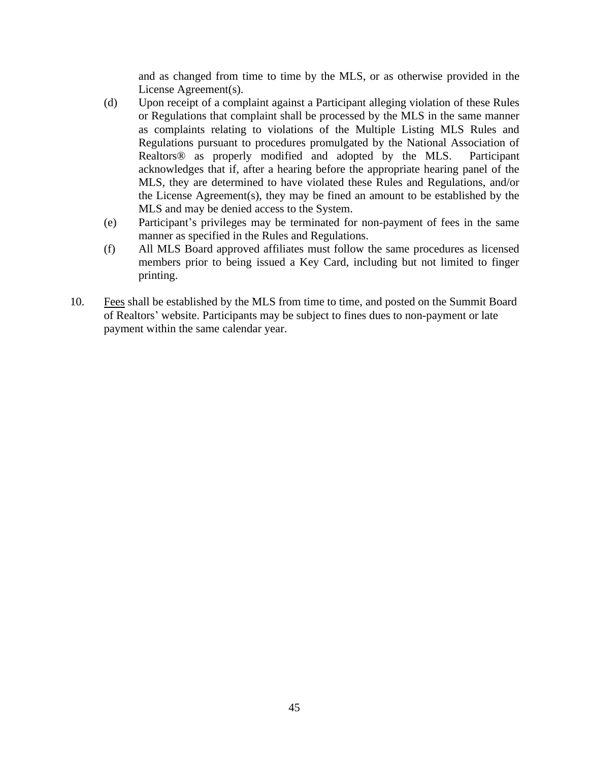and as changed from time to time by the MLS, or as otherwise provided in the License Agreement(s).

- (d) Upon receipt of a complaint against a Participant alleging violation of these Rules or Regulations that complaint shall be processed by the MLS in the same manner as complaints relating to violations of the Multiple Listing MLS Rules and Regulations pursuant to procedures promulgated by the National Association of Realtors® as properly modified and adopted by the MLS. Participant acknowledges that if, after a hearing before the appropriate hearing panel of the MLS, they are determined to have violated these Rules and Regulations, and/or the License Agreement(s), they may be fined an amount to be established by the MLS and may be denied access to the System.
- (e) Participant's privileges may be terminated for non-payment of fees in the same manner as specified in the Rules and Regulations.
- (f) All MLS Board approved affiliates must follow the same procedures as licensed members prior to being issued a Key Card, including but not limited to finger printing.
- 10. Fees shall be established by the MLS from time to time, and posted on the Summit Board of Realtors' website. Participants may be subject to fines dues to non-payment or late payment within the same calendar year.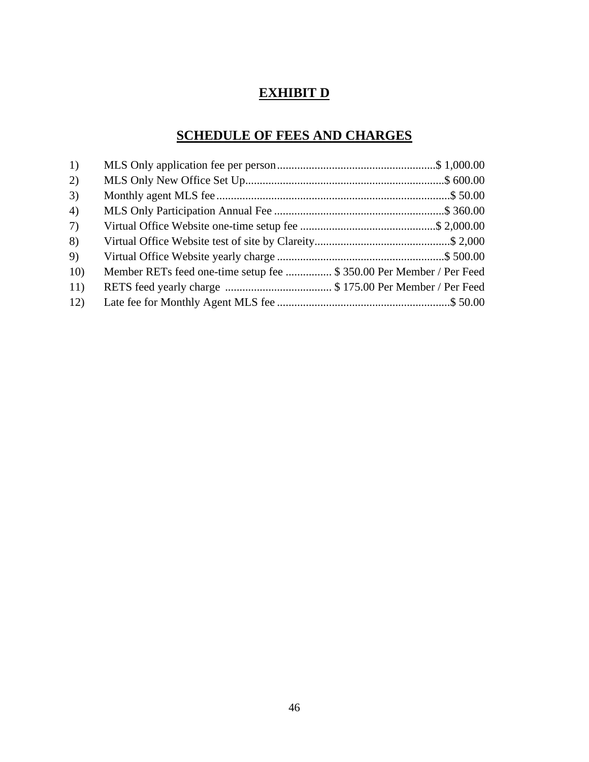## **EXHIBIT D**

## **SCHEDULE OF FEES AND CHARGES**

| 1)  |                                                                     |  |
|-----|---------------------------------------------------------------------|--|
| 2)  |                                                                     |  |
| 3)  |                                                                     |  |
| 4)  |                                                                     |  |
| 7)  |                                                                     |  |
| 8)  |                                                                     |  |
| 9)  |                                                                     |  |
| 10) | Member RETs feed one-time setup fee \$ 350.00 Per Member / Per Feed |  |
| 11) |                                                                     |  |
| 12) |                                                                     |  |